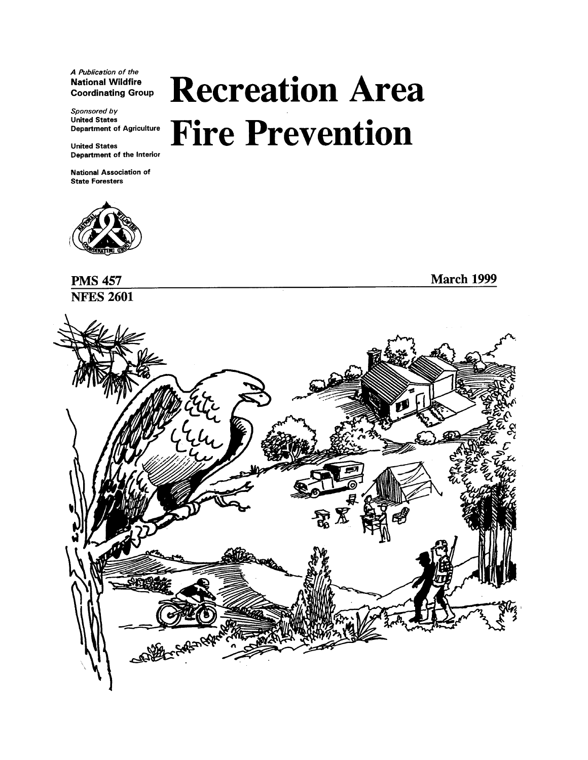**A Publication of the National Wildfire** 

**Sponsored by United States Department of Agriculture** 

**Department of the Interior** 

**National Association of State Foresters** 



**PMS 457 March 1999 NFES 2601** 

# **Recreation Area** Department of Agriculture **Fire Prevention**

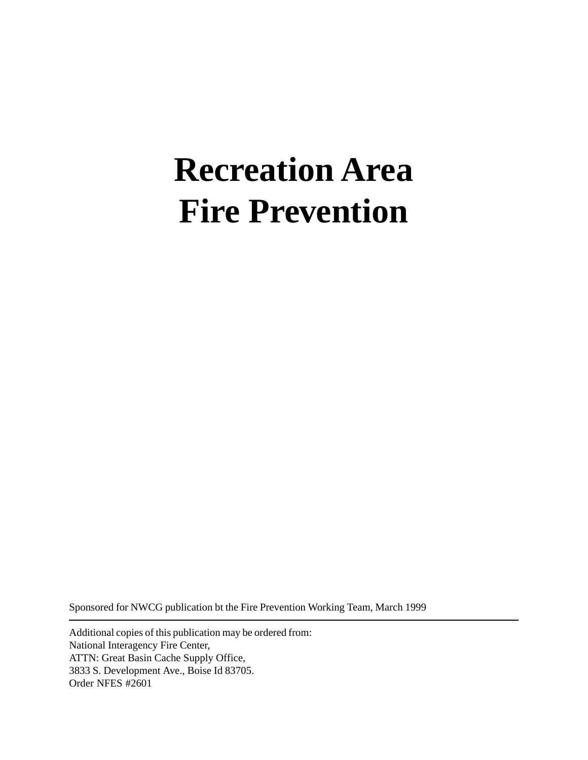## **Recreation Area Fire Prevention**

Sponsored for NWCG publication bt the Fire Prevention Working Team, March 1999

Additional copies of this publication may be ordered from: National Interagency Fire Center, ATTN: Great Basin Cache Supply Office, 3833 S. Development Ave., Boise Id 83705. Order NFES #2601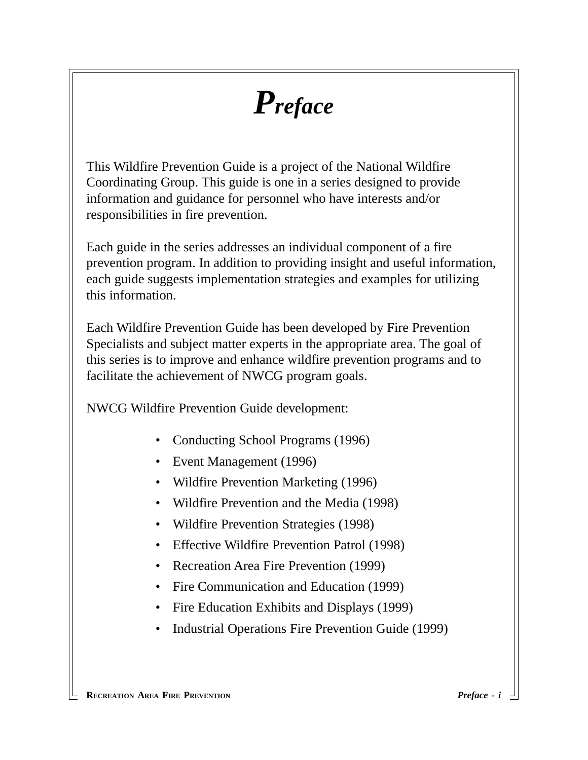### *Preface*

This Wildfire Prevention Guide is a project of the National Wildfire Coordinating Group. This guide is one in a series designed to provide information and guidance for personnel who have interests and/or responsibilities in fire prevention.

Each guide in the series addresses an individual component of a fire prevention program. In addition to providing insight and useful information, each guide suggests implementation strategies and examples for utilizing this information.

Each Wildfire Prevention Guide has been developed by Fire Prevention Specialists and subject matter experts in the appropriate area. The goal of this series is to improve and enhance wildfire prevention programs and to facilitate the achievement of NWCG program goals.

NWCG Wildfire Prevention Guide development:

- Conducting School Programs (1996)
- Event Management (1996)
- Wildfire Prevention Marketing (1996)
- Wildfire Prevention and the Media (1998)
- Wildfire Prevention Strategies (1998)
- Effective Wildfire Prevention Patrol (1998)
- Recreation Area Fire Prevention (1999)
- Fire Communication and Education (1999)
- Fire Education Exhibits and Displays (1999)
- Industrial Operations Fire Prevention Guide (1999)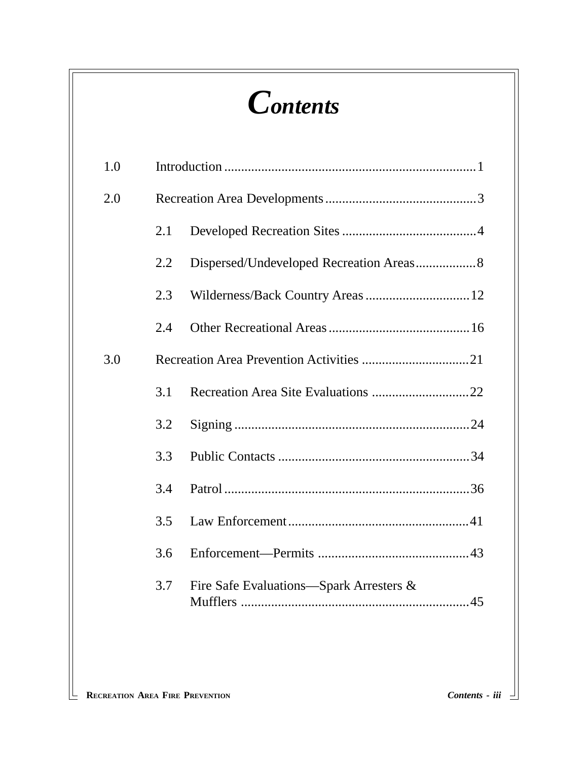# *Contents*

| 1.0 |                                                 |  |  |
|-----|-------------------------------------------------|--|--|
| 2.0 |                                                 |  |  |
|     | 2.1                                             |  |  |
|     | Dispersed/Undeveloped Recreation Areas 8<br>2.2 |  |  |
|     | 2.3                                             |  |  |
|     | 2.4                                             |  |  |
| 3.0 |                                                 |  |  |
|     | 3.1                                             |  |  |
|     | 3.2                                             |  |  |
|     | 3.3                                             |  |  |
|     | 3.4                                             |  |  |
|     | 3.5                                             |  |  |
|     | 3.6                                             |  |  |
|     | Fire Safe Evaluations—Spark Arresters &<br>3.7  |  |  |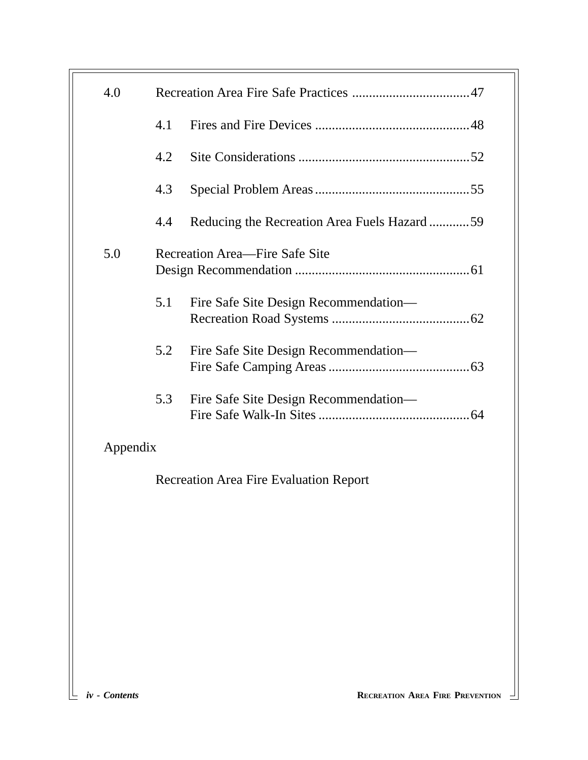| 4.0 |                                               |                                              |  |  |  |
|-----|-----------------------------------------------|----------------------------------------------|--|--|--|
| 4.1 |                                               |                                              |  |  |  |
|     | 4.2                                           |                                              |  |  |  |
|     | 4.3                                           |                                              |  |  |  |
|     | 4.4                                           | Reducing the Recreation Area Fuels Hazard 59 |  |  |  |
| 5.0 | Recreation Area—Fire Safe Site                |                                              |  |  |  |
|     | 5.1                                           | Fire Safe Site Design Recommendation—        |  |  |  |
|     | 5.2                                           | Fire Safe Site Design Recommendation—        |  |  |  |
|     | 5.3                                           | Fire Safe Site Design Recommendation—        |  |  |  |
|     | Appendix                                      |                                              |  |  |  |
|     | <b>Recreation Area Fire Evaluation Report</b> |                                              |  |  |  |
|     |                                               |                                              |  |  |  |
|     |                                               |                                              |  |  |  |
|     |                                               |                                              |  |  |  |
|     |                                               |                                              |  |  |  |
|     |                                               |                                              |  |  |  |

ᆜ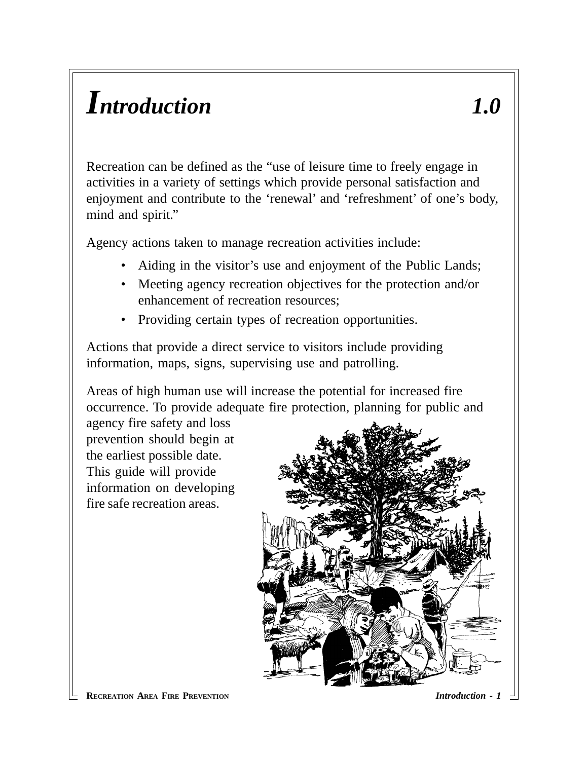### *Introduction 1.0*

Recreation can be defined as the "use of leisure time to freely engage in activities in a variety of settings which provide personal satisfaction and enjoyment and contribute to the 'renewal' and 'refreshment' of one's body, mind and spirit."

Agency actions taken to manage recreation activities include:

- Aiding in the visitor's use and enjoyment of the Public Lands;
- Meeting agency recreation objectives for the protection and/or enhancement of recreation resources;
- Providing certain types of recreation opportunities.

Actions that provide a direct service to visitors include providing information, maps, signs, supervising use and patrolling.

Areas of high human use will increase the potential for increased fire occurrence. To provide adequate fire protection, planning for public and

agency fire safety and loss prevention should begin at the earliest possible date. This guide will provide information on developing fire safe recreation areas.

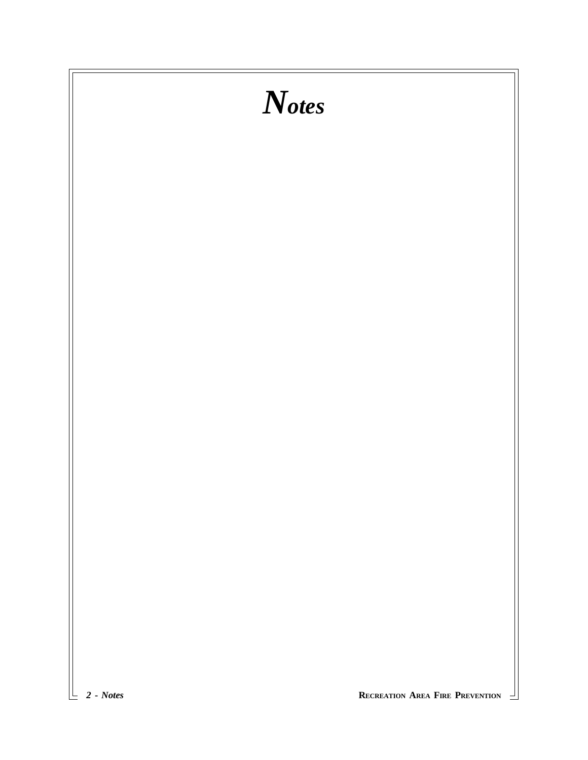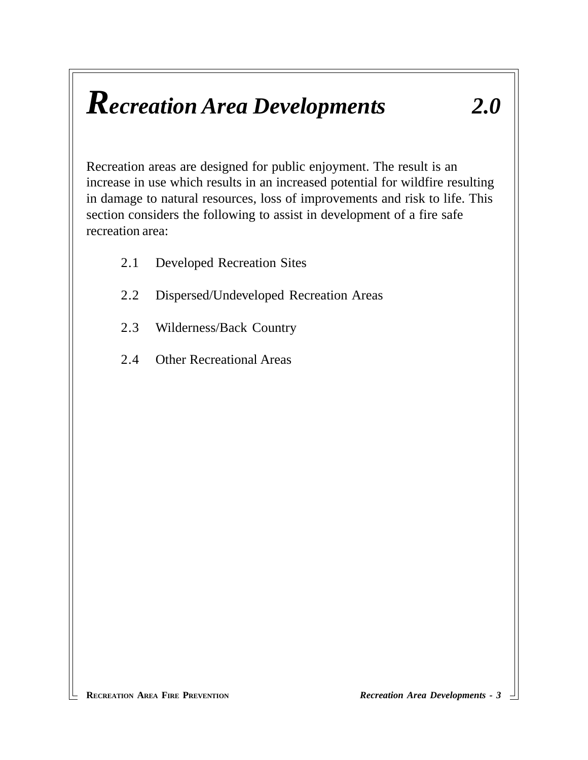### *Recreation Area Developments 2.0*

Recreation areas are designed for public enjoyment. The result is an increase in use which results in an increased potential for wildfire resulting in damage to natural resources, loss of improvements and risk to life. This section considers the following to assist in development of a fire safe recreation area:

- 2.1 Developed Recreation Sites
- 2.2 Dispersed/Undeveloped Recreation Areas
- 2.3 Wilderness/Back Country
- 2.4 Other Recreational Areas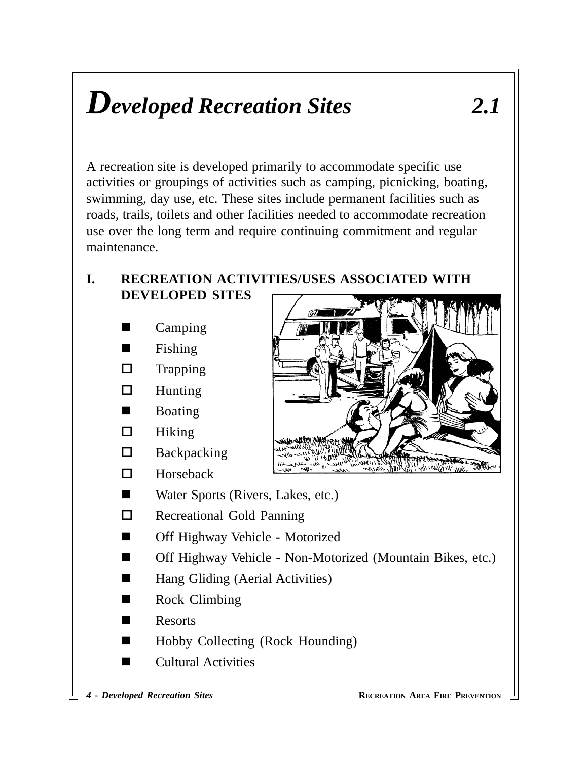### *Developed Recreation Sites 2.1*

A recreation site is developed primarily to accommodate specific use activities or groupings of activities such as camping, picnicking, boating, swimming, day use, etc. These sites include permanent facilities such as roads, trails, toilets and other facilities needed to accommodate recreation use over the long term and require continuing commitment and regular maintenance.

#### **I. RECREATION ACTIVITIES/USES ASSOCIATED WITH DEVELOPED SITES**

- Camping
- Fishing
- $\square$  Trapping
- $\Box$  Hunting
- **n** Boating
- $\Box$  Hiking
- $\square$  Backpacking
- $\Box$  Horseback
- Water Sports (Rivers, Lakes, etc.)
- $\Box$  Recreational Gold Panning
- Off Highway Vehicle Motorized
- Off Highway Vehicle Non-Motorized (Mountain Bikes, etc.)
- $\blacksquare$  Hang Gliding (Aerial Activities)
- Rock Climbing
- **Resorts**
- Hobby Collecting (Rock Hounding)
- **Cultural Activities**

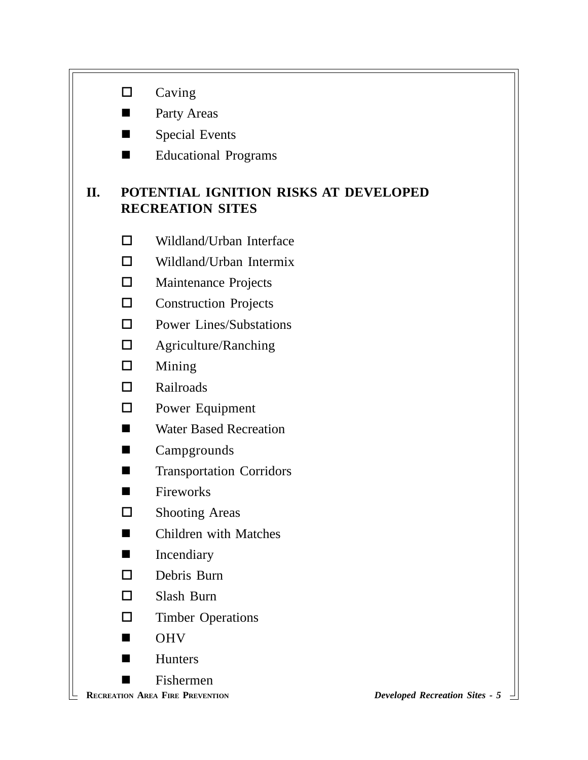|                                          | Caving<br>□                      |                                                                  |                                                                                             |  |  |  |
|------------------------------------------|----------------------------------|------------------------------------------------------------------|---------------------------------------------------------------------------------------------|--|--|--|
|                                          | ٠                                | Party Areas                                                      |                                                                                             |  |  |  |
|                                          | <b>Special Events</b><br>٠       |                                                                  |                                                                                             |  |  |  |
|                                          | <b>Educational Programs</b><br>٠ |                                                                  |                                                                                             |  |  |  |
|                                          | II.                              | POTENTIAL IGNITION RISKS AT DEVELOPED<br><b>RECREATION SITES</b> |                                                                                             |  |  |  |
|                                          |                                  | □                                                                | Wildland/Urban Interface                                                                    |  |  |  |
|                                          |                                  | $\Box$                                                           | Wildland/Urban Intermix                                                                     |  |  |  |
|                                          |                                  | □                                                                | Maintenance Projects                                                                        |  |  |  |
|                                          |                                  | $\Box$                                                           | <b>Construction Projects</b>                                                                |  |  |  |
| <b>Power Lines/Substations</b><br>$\Box$ |                                  |                                                                  |                                                                                             |  |  |  |
| $\Box$<br>Agriculture/Ranching           |                                  |                                                                  |                                                                                             |  |  |  |
| Mining<br>□                              |                                  |                                                                  |                                                                                             |  |  |  |
| Railroads<br>$\Box$                      |                                  |                                                                  |                                                                                             |  |  |  |
| $\Box$<br>Power Equipment                |                                  |                                                                  |                                                                                             |  |  |  |
| <b>Water Based Recreation</b><br>٠       |                                  |                                                                  |                                                                                             |  |  |  |
| Campgrounds<br>٠                         |                                  |                                                                  |                                                                                             |  |  |  |
| <b>Transportation Corridors</b><br>٠     |                                  |                                                                  |                                                                                             |  |  |  |
|                                          |                                  |                                                                  | Fireworks                                                                                   |  |  |  |
|                                          |                                  |                                                                  | <b>Shooting Areas</b>                                                                       |  |  |  |
|                                          |                                  |                                                                  | <b>Children with Matches</b>                                                                |  |  |  |
|                                          |                                  | ■                                                                | Incendiary                                                                                  |  |  |  |
|                                          |                                  | $\Box$                                                           | Debris Burn                                                                                 |  |  |  |
|                                          |                                  | □                                                                | Slash Burn                                                                                  |  |  |  |
|                                          |                                  | $\Box$                                                           | <b>Timber Operations</b>                                                                    |  |  |  |
|                                          |                                  | ш                                                                | <b>OHV</b>                                                                                  |  |  |  |
|                                          |                                  |                                                                  | Hunters                                                                                     |  |  |  |
|                                          |                                  |                                                                  | Fishermen<br><b>RECREATION AREA FIRE PREVENTION</b><br>Developed Recreation Sites - 5 $\pm$ |  |  |  |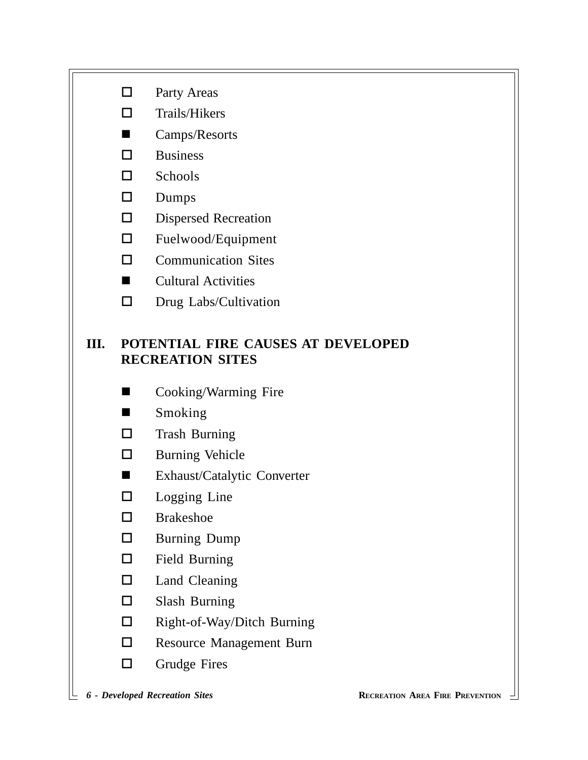- $\Box$  Party Areas
- $\Box$  Trails/Hikers
- $\blacksquare$  Camps/Resorts
- $\square$  Business
- $\square$  Schools
- $\square$  Dumps
- $\square$  Dispersed Recreation
- $\Box$  Fuelwood/Equipment
- $\Box$  Communication Sites
- $\blacksquare$  Cultural Activities
- $\square$  Drug Labs/Cultivation

#### **III. POTENTIAL FIRE CAUSES AT DEVELOPED RECREATION SITES**

- Cooking/Warming Fire
- **n** Smoking
- $\square$  Trash Burning
- $\square$  Burning Vehicle
- Exhaust/Catalytic Converter
- $\Box$  Logging Line
- $\square$  Brakeshoe
- $\square$  Burning Dump
- $\square$  Field Burning
- $\square$  Land Cleaning
- $\square$  Slash Burning
- $\square$  Right-of-Way/Ditch Burning
- $\square$  Resource Management Burn
- $\Box$  Grudge Fires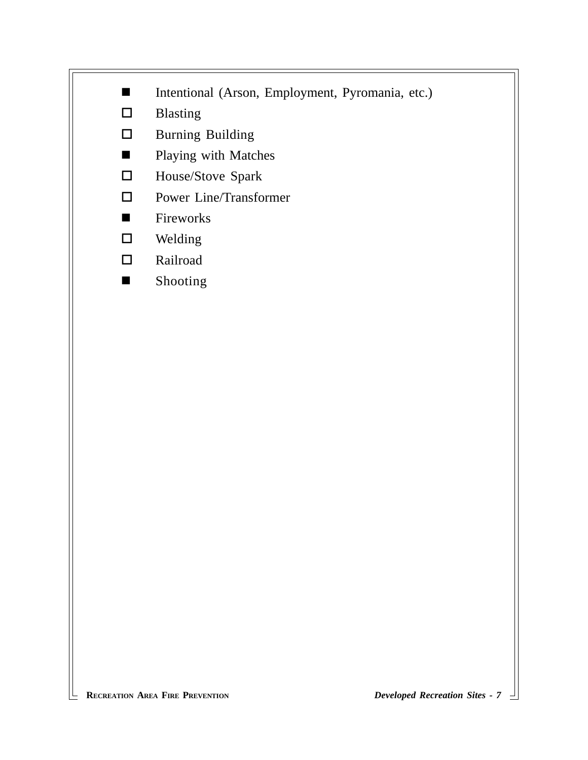#### ■ Intentional (Arson, Employment, Pyromania, etc.)

- $\square$  Blasting
- $\square$  Burning Building
- **n** Playing with Matches
- $\square$  House/Stove Spark
- $\Box$  Power Line/Transformer
- $\blacksquare$  Fireworks
- $\square$  Welding
- $\square$  Railroad
- **n** Shooting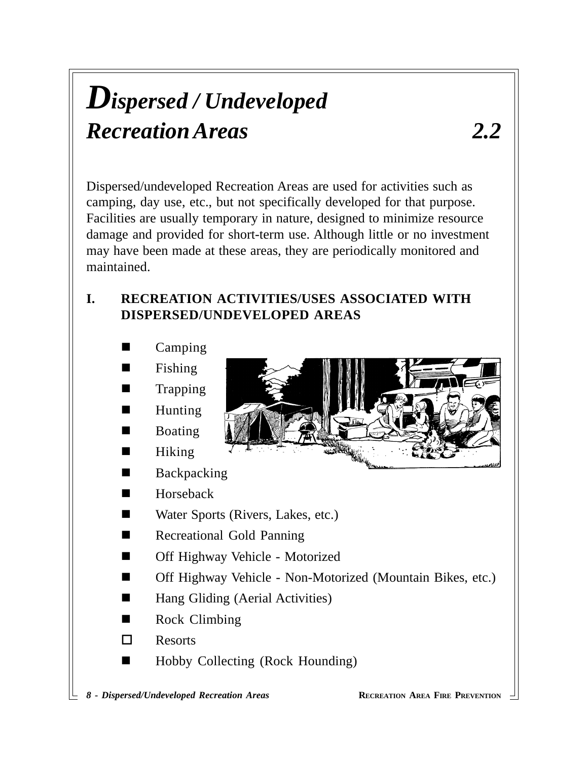### *Dispersed / Undeveloped Recreation Areas 2.2*

Dispersed/undeveloped Recreation Areas are used for activities such as camping, day use, etc., but not specifically developed for that purpose. Facilities are usually temporary in nature, designed to minimize resource damage and provided for short-term use. Although little or no investment may have been made at these areas, they are periodically monitored and maintained.

#### **I. RECREATION ACTIVITIES/USES ASSOCIATED WITH DISPERSED/UNDEVELOPED AREAS**

Camping Fishing **Trapping Hunting Boating**  $\blacksquare$  Hiking  $\blacksquare$  Backpacking ■ Horseback ■ Water Sports (Rivers, Lakes, etc.) **n** Recreational Gold Panning ■ Off Highway Vehicle - Motorized ■ Off Highway Vehicle - Non-Motorized (Mountain Bikes, etc.)  $\blacksquare$  Hang Gliding (Aerial Activities)  $\blacksquare$  Rock Climbing  $\Box$  Resorts Hobby Collecting (Rock Hounding)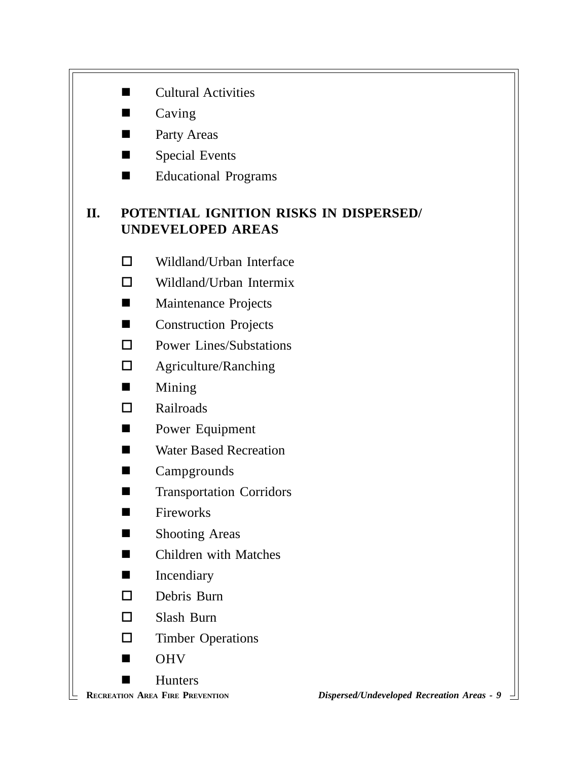|     |        | <b>Cultural Activities</b>                                  |                          |
|-----|--------|-------------------------------------------------------------|--------------------------|
|     |        | Caving                                                      |                          |
|     |        | Party Areas                                                 |                          |
|     |        | <b>Special Events</b>                                       |                          |
|     |        | <b>Educational Programs</b>                                 |                          |
| II. |        | POTENTIAL IGNITION RISKS IN DISPERSED/<br>UNDEVELOPED AREAS |                          |
|     | П      | Wildland/Urban Interface                                    |                          |
|     | П      | Wildland/Urban Intermix                                     |                          |
|     |        | Maintenance Projects                                        |                          |
|     |        | <b>Construction Projects</b>                                |                          |
|     | $\Box$ | <b>Power Lines/Substations</b>                              |                          |
|     | $\Box$ | Agriculture/Ranching                                        |                          |
|     |        | Mining                                                      |                          |
|     | П      | Railroads                                                   |                          |
|     |        | Power Equipment                                             |                          |
|     |        | <b>Water Based Recreation</b>                               |                          |
|     |        | Campgrounds                                                 |                          |
|     |        | <b>Transportation Corridors</b>                             |                          |
|     |        | Fireworks                                                   |                          |
|     |        | <b>Shooting Areas</b>                                       |                          |
|     |        | <b>Children with Matches</b>                                |                          |
|     |        | Incendiary                                                  |                          |
|     | П.     | Debris Burn                                                 |                          |
|     | П.     | Slash Burn                                                  |                          |
|     | $\Box$ | <b>Timber Operations</b>                                    |                          |
|     |        | <b>OHV</b>                                                  |                          |
|     |        | <b>Hunters</b><br><b>RECREATION AREA FIRE PREVENTION</b>    | Dispersed/Undeveloped Re |
|     |        |                                                             |                          |

 $R$ **ENTION** *Dispersed/Undeveloped Recreation Areas - 9* $\pm$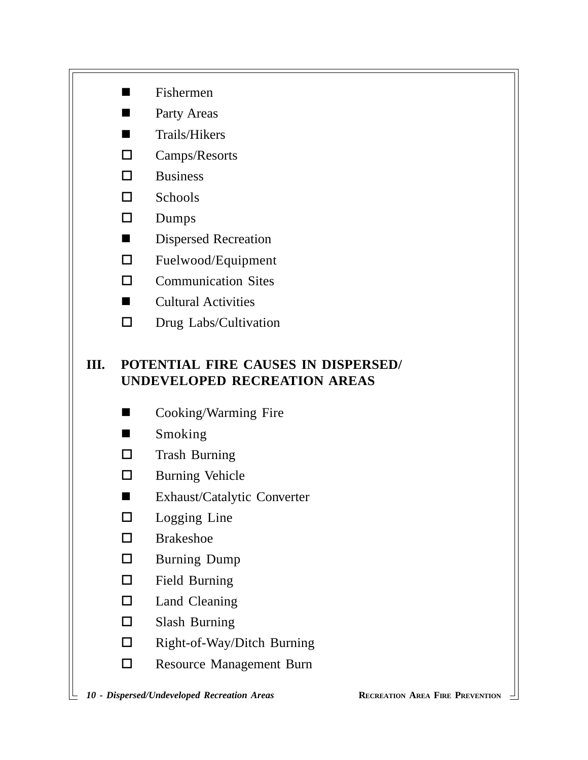- $\blacksquare$  Fishermen
- **n** Party Areas
- $\blacksquare$  Trails/Hikers
- $\Box$  Camps/Resorts
- $\square$  Business
- $\square$  Schools
- $\square$  Dumps
- **n** Dispersed Recreation
- $\square$  Fuelwood/Equipment
- $\Box$  Communication Sites
- $\blacksquare$  Cultural Activities
- $\square$  Drug Labs/Cultivation

#### **III. POTENTIAL FIRE CAUSES IN DISPERSED/ UNDEVELOPED RECREATION AREAS**

- Cooking/Warming Fire
- $\blacksquare$  Smoking
- $\square$  Trash Burning
- $\Box$  Burning Vehicle
- Exhaust/Catalytic Converter
- $\Box$  Logging Line
- $\square$  Brakeshoe
- $\square$  Burning Dump
- $\Box$  Field Burning
- $\square$  Land Cleaning
- $\square$  Slash Burning
- $\square$  Right-of-Way/Ditch Burning
- $\square$  Resource Management Burn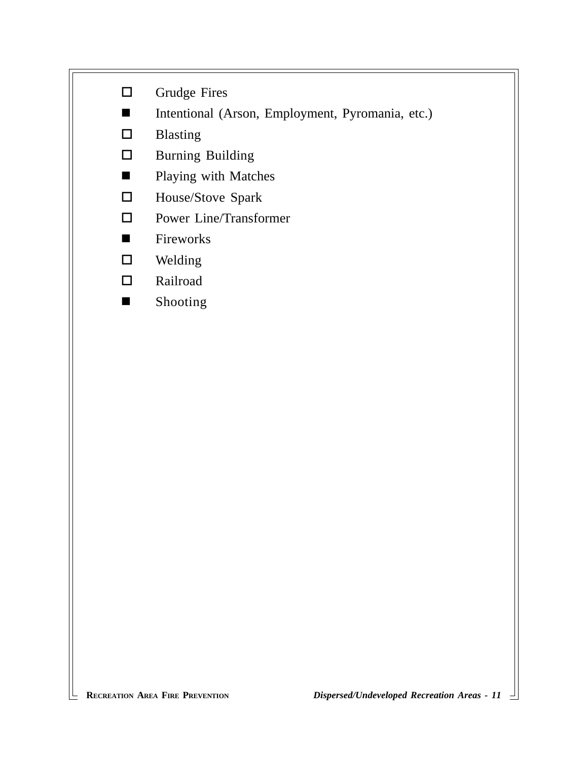#### $\Box$  Grudge Fires

- Intentional (Arson, Employment, Pyromania, etc.)
- $\square$  Blasting
- $\square$  Burning Building
- **n** Playing with Matches
- $\square$  House/Stove Spark
- $\Box$  Power Line/Transformer
- $\blacksquare$  Fireworks
- $\square$  Welding
- $\square$  Railroad
- **n** Shooting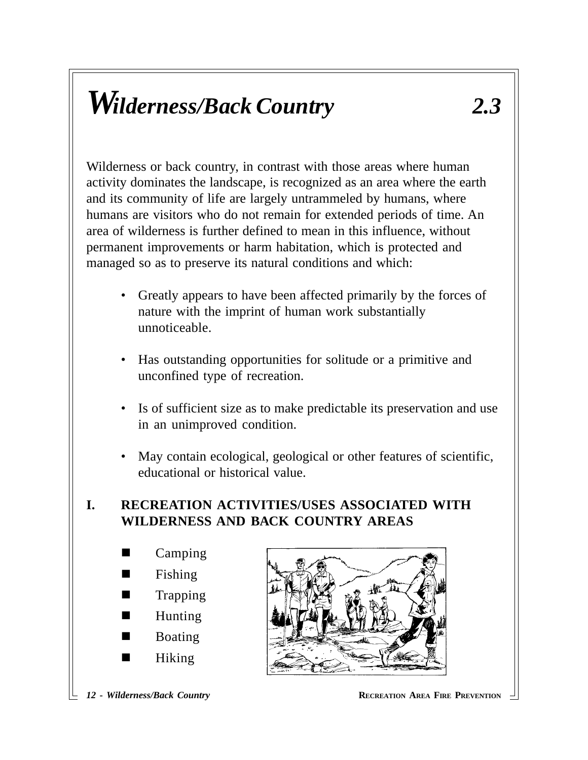### *Wilderness/Back Country 2.3*

Wilderness or back country, in contrast with those areas where human activity dominates the landscape, is recognized as an area where the earth and its community of life are largely untrammeled by humans, where humans are visitors who do not remain for extended periods of time. An area of wilderness is further defined to mean in this influence, without permanent improvements or harm habitation, which is protected and managed so as to preserve its natural conditions and which:

- Greatly appears to have been affected primarily by the forces of nature with the imprint of human work substantially unnoticeable.
- Has outstanding opportunities for solitude or a primitive and unconfined type of recreation.
- Is of sufficient size as to make predictable its preservation and use in an unimproved condition.
- May contain ecological, geological or other features of scientific, educational or historical value.

#### **I. RECREATION ACTIVITIES/USES ASSOCIATED WITH WILDERNESS AND BACK COUNTRY AREAS**



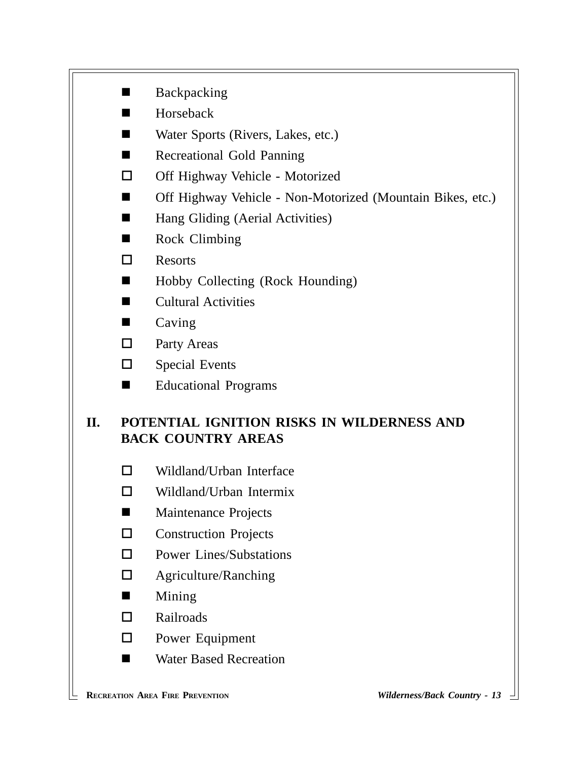- **n** Backpacking
- Horseback
- Water Sports (Rivers, Lakes, etc.)
- **n** Recreational Gold Panning
- $\Box$  Off Highway Vehicle Motorized
- Off Highway Vehicle Non-Motorized (Mountain Bikes, etc.)
- Hang Gliding (Aerial Activities)
- $\blacksquare$  Rock Climbing
- $\Box$  Resorts
- $\blacksquare$  Hobby Collecting (Rock Hounding)
- $\blacksquare$  Cultural Activities
- $\Box$  Caving
- $\Box$  Party Areas
- $\Box$  Special Events
- Educational Programs

#### **II. POTENTIAL IGNITION RISKS IN WILDERNESS AND BACK COUNTRY AREAS**

- $\square$  Wildland/Urban Interface
- $\square$  Wildland/Urban Intermix
- **Naintenance Projects**
- $\Box$  Construction Projects
- $\square$  Power Lines/Substations
- $\Box$  Agriculture/Ranching
- $\blacksquare$  Mining
- $\square$  Railroads
- $\Box$  Power Equipment
- **Nater Based Recreation**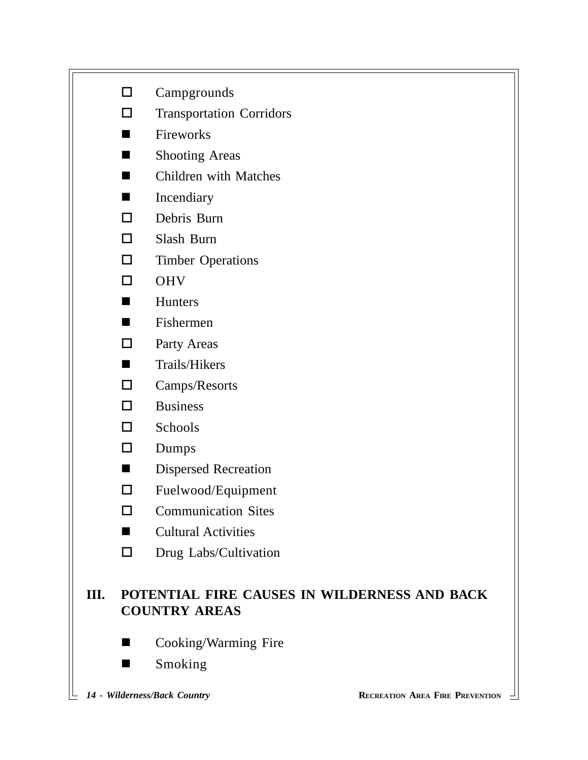### $\square$  Campgrounds  $\square$  Transportation Corridors **n** Fireworks  $\blacksquare$  Shooting Areas  $\blacksquare$  Children with Matches  $\blacksquare$  Incendiary  $\Box$  Debris Burn  $\square$  Slash Burn  $\square$  Timber Operations  $\square$  OHV  $\blacksquare$  Hunters  $\blacksquare$  Fishermen  $\Box$  Party Areas  $\blacksquare$  Trails/Hikers  $\square$  Camps/Resorts  $\square$  Business  $\square$  Schools  $\square$  Dumps **n** Dispersed Recreation  $\square$  Fuelwood/Equipment  $\Box$  Communication Sites  $\blacksquare$  Cultural Activities  $\square$  Drug Labs/Cultivation **III. POTENTIAL FIRE CAUSES IN WILDERNESS AND BACK COUNTRY AREAS**

- Cooking/Warming Fire
- Smoking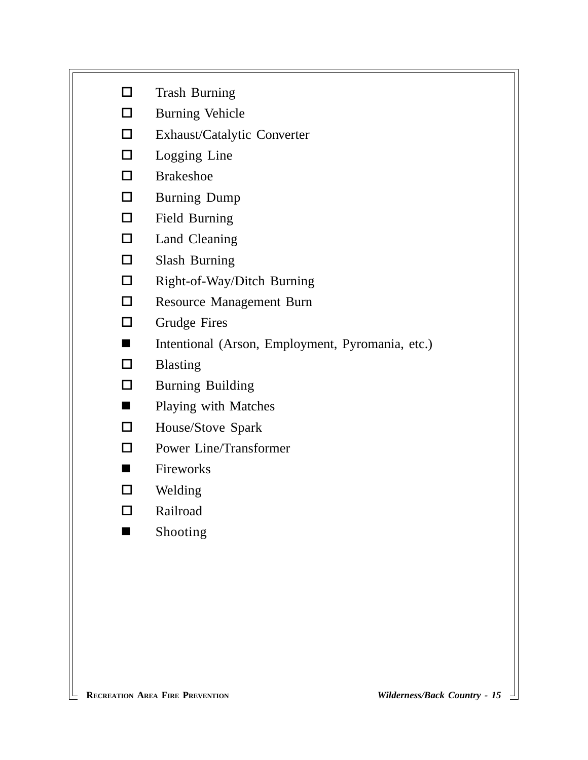#### $\square$  Trash Burning

 $\square$  Burning Vehicle

□ Exhaust/Catalytic Converter

 $\square$  Logging Line

 $\square$  Brakeshoe

 $\square$  Burning Dump

 $\Box$  Field Burning

 $\square$  Land Cleaning

 $\square$  Slash Burning

 $\Box$  Right-of-Way/Ditch Burning

□ Resource Management Burn

 $\Box$  Grudge Fires

■ Intentional (Arson, Employment, Pyromania, etc.)

 $\square$  Blasting

 $\square$  Burning Building

**n** Playing with Matches

 $\square$  House/Stove Spark

 $\square$  Power Line/Transformer

 $\blacksquare$  Fireworks

 $\square$  Welding

 $\square$  Railroad

**n** Shooting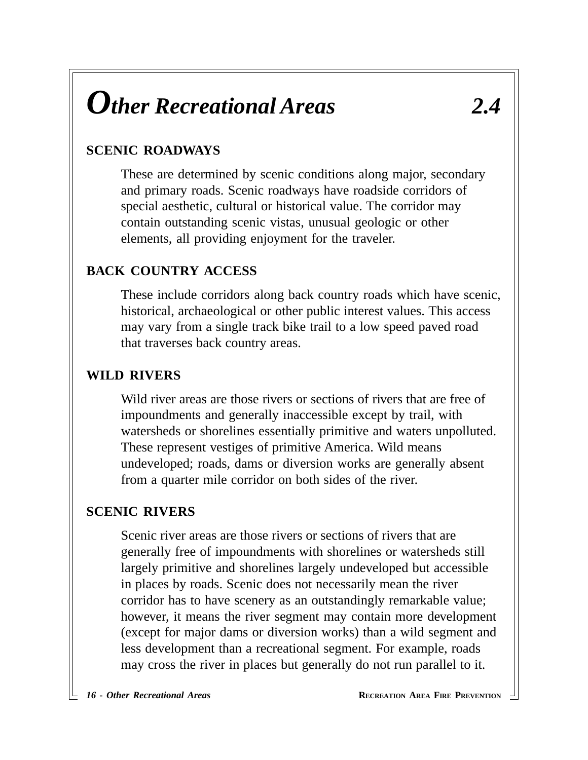### *Other Recreational Areas 2.4*

#### **SCENIC ROADWAYS**

These are determined by scenic conditions along major, secondary and primary roads. Scenic roadways have roadside corridors of special aesthetic, cultural or historical value. The corridor may contain outstanding scenic vistas, unusual geologic or other elements, all providing enjoyment for the traveler.

#### **BACK COUNTRY ACCESS**

These include corridors along back country roads which have scenic, historical, archaeological or other public interest values. This access may vary from a single track bike trail to a low speed paved road that traverses back country areas.

#### **WILD RIVERS**

Wild river areas are those rivers or sections of rivers that are free of impoundments and generally inaccessible except by trail, with watersheds or shorelines essentially primitive and waters unpolluted. These represent vestiges of primitive America. Wild means undeveloped; roads, dams or diversion works are generally absent from a quarter mile corridor on both sides of the river.

#### **SCENIC RIVERS**

Scenic river areas are those rivers or sections of rivers that are generally free of impoundments with shorelines or watersheds still largely primitive and shorelines largely undeveloped but accessible in places by roads. Scenic does not necessarily mean the river corridor has to have scenery as an outstandingly remarkable value; however, it means the river segment may contain more development (except for major dams or diversion works) than a wild segment and less development than a recreational segment. For example, roads may cross the river in places but generally do not run parallel to it.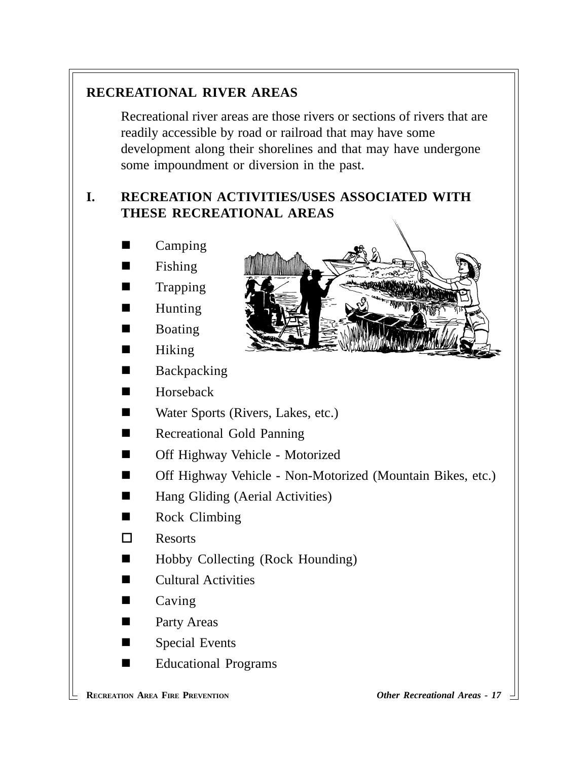#### **RECREATIONAL RIVER AREAS**

Recreational river areas are those rivers or sections of rivers that are readily accessible by road or railroad that may have some development along their shorelines and that may have undergone some impoundment or diversion in the past.

#### **I. RECREATION ACTIVITIES/USES ASSOCIATED WITH THESE RECREATIONAL AREAS**

- $\blacksquare$  Camping
- Fishing
- **Trapping**
- Hunting
- **Boating**
- Hiking
- $\blacksquare$  Backpacking
- **N** Horseback
- Water Sports (Rivers, Lakes, etc.)
- **n** Recreational Gold Panning
- Off Highway Vehicle Motorized
- Off Highway Vehicle Non-Motorized (Mountain Bikes, etc.)
- $\blacksquare$  Hang Gliding (Aerial Activities)
- $\blacksquare$  Rock Climbing
- $\Box$  Resorts
- $\blacksquare$  Hobby Collecting (Rock Hounding)
- **Cultural Activities**
- Caving
- Party Areas
- Special Events
- Educational Programs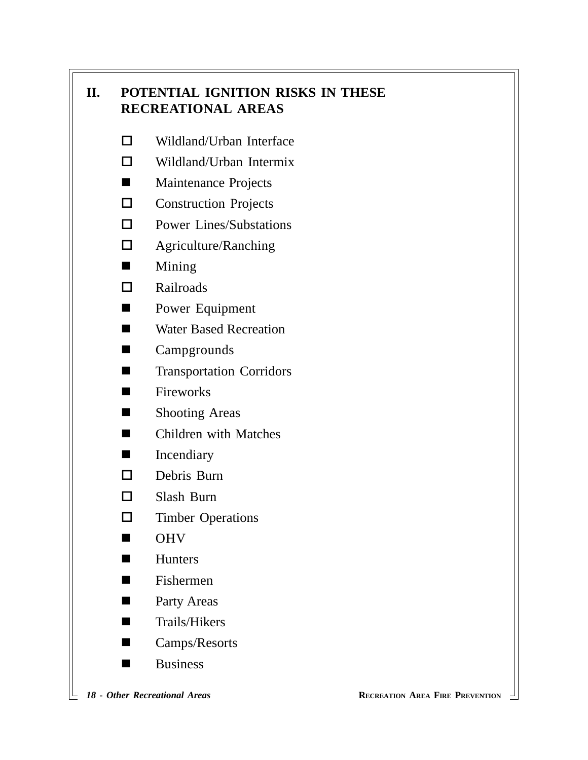#### **II. POTENTIAL IGNITION RISKS IN THESE RECREATIONAL AREAS**

- $\square$  Wildland/Urban Interface
- $\square$  Wildland/Urban Intermix
- Maintenance Projects
- $\square$  Construction Projects
- $\square$  Power Lines/Substations
- $\Box$  Agriculture/Ranching
- $\blacksquare$  Mining
- $\square$  Railroads
- **n** Power Equipment
- **Nater Based Recreation**
- **n** Campgrounds
- **n** Transportation Corridors
- $\blacksquare$  Fireworks
- **n** Shooting Areas
- $\blacksquare$  Children with Matches
- $\blacksquare$  Incendiary
- $\Box$  Debris Burn
- $\square$  Slash Burn
- $\square$  Timber Operations
- n OHV
- $\blacksquare$  Hunters
- $\blacksquare$  Fishermen
- **n** Party Areas
- Trails/Hikers
- Camps/Resorts
- **Business**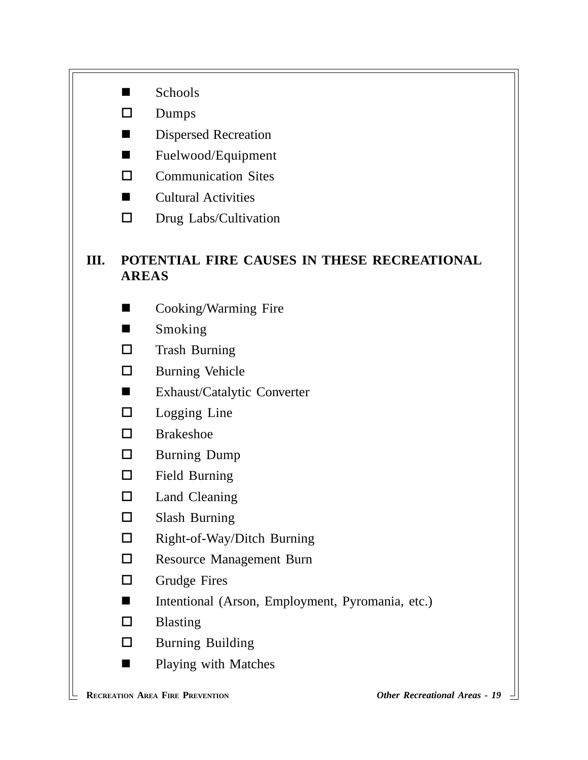- $\blacksquare$  Schools
- $\square$  Dumps
- **n** Dispersed Recreation
- Fuelwood/Equipment
- $\Box$  Communication Sites
- **n** Cultural Activities
- $\square$  Drug Labs/Cultivation

#### **III. POTENTIAL FIRE CAUSES IN THESE RECREATIONAL AREAS**

- Cooking/Warming Fire
- **n** Smoking
- $\square$  Trash Burning
- $\Box$  Burning Vehicle
- Exhaust/Catalytic Converter
- $\Box$  Logging Line
- $\square$  Brakeshoe
- $\square$  Burning Dump
- $\Box$  Field Burning
- $\Box$  Land Cleaning
- $\square$  Slash Burning
- $\Box$  Right-of-Way/Ditch Burning
- $\square$  Resource Management Burn
- $\Box$  Grudge Fires
- Intentional (Arson, Employment, Pyromania, etc.)
- $\square$  Blasting
- $\square$  Burning Building
- **n** Playing with Matches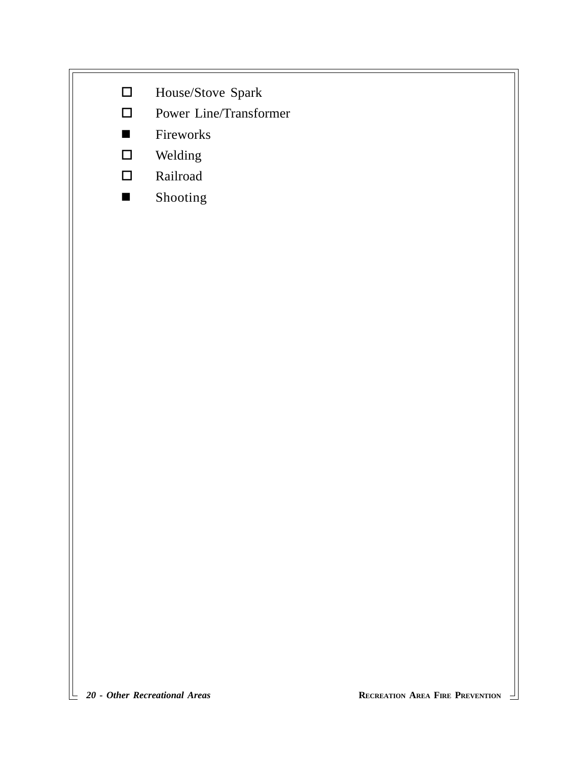

 $\square$  Power Line/Transformer

- **n** Fireworks
- $\square$  Welding
- $\hfill \Box$  <br> Railroad
- **n** Shooting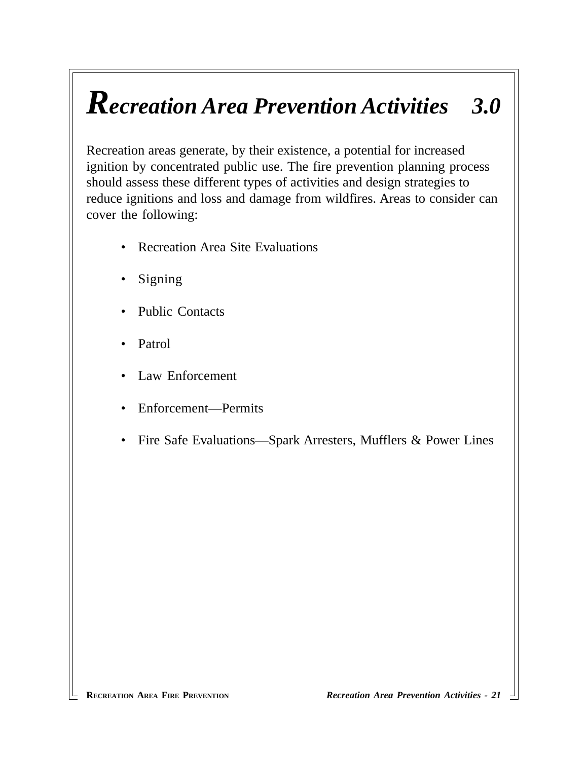### *Recreation Area Prevention Activities 3.0*

Recreation areas generate, by their existence, a potential for increased ignition by concentrated public use. The fire prevention planning process should assess these different types of activities and design strategies to reduce ignitions and loss and damage from wildfires. Areas to consider can cover the following:

- Recreation Area Site Evaluations
- Signing
- Public Contacts
- Patrol
- Law Enforcement
- Enforcement—Permits
- Fire Safe Evaluations—Spark Arresters, Mufflers & Power Lines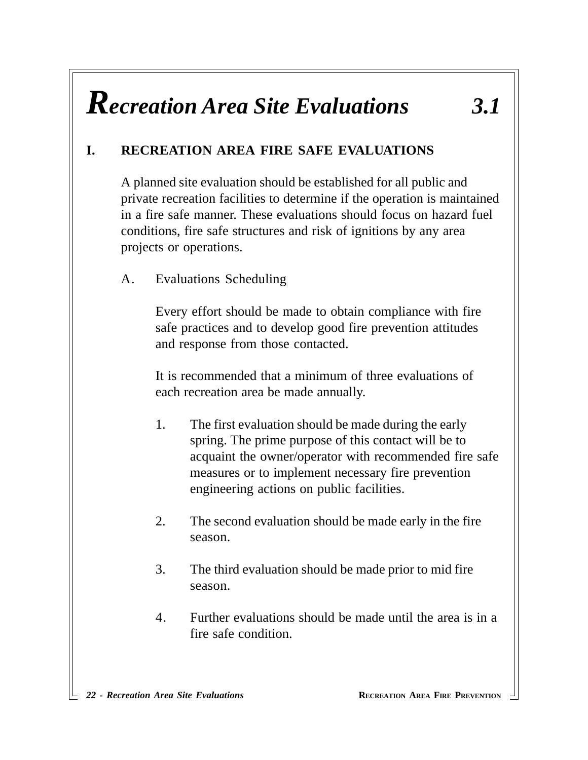### *Recreation Area Site Evaluations 3.1*

#### **I. RECREATION AREA FIRE SAFE EVALUATIONS**

A planned site evaluation should be established for all public and private recreation facilities to determine if the operation is maintained in a fire safe manner. These evaluations should focus on hazard fuel conditions, fire safe structures and risk of ignitions by any area projects or operations.

A. Evaluations Scheduling

Every effort should be made to obtain compliance with fire safe practices and to develop good fire prevention attitudes and response from those contacted.

It is recommended that a minimum of three evaluations of each recreation area be made annually.

- 1. The first evaluation should be made during the early spring. The prime purpose of this contact will be to acquaint the owner/operator with recommended fire safe measures or to implement necessary fire prevention engineering actions on public facilities.
- 2. The second evaluation should be made early in the fire season.
- 3. The third evaluation should be made prior to mid fire season.
- 4. Further evaluations should be made until the area is in a fire safe condition.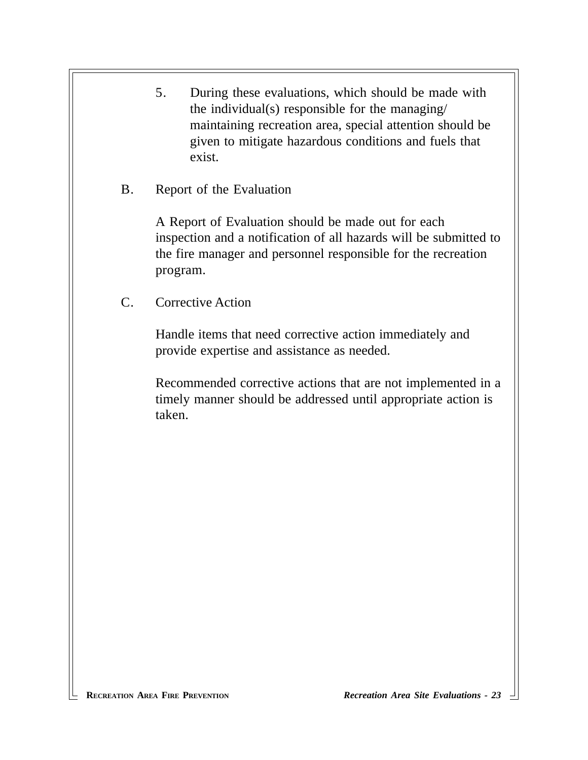- 5. During these evaluations, which should be made with the individual(s) responsible for the managing/ maintaining recreation area, special attention should be given to mitigate hazardous conditions and fuels that exist.
- B. Report of the Evaluation

A Report of Evaluation should be made out for each inspection and a notification of all hazards will be submitted to the fire manager and personnel responsible for the recreation program.

C. Corrective Action

Handle items that need corrective action immediately and provide expertise and assistance as needed.

Recommended corrective actions that are not implemented in a timely manner should be addressed until appropriate action is taken.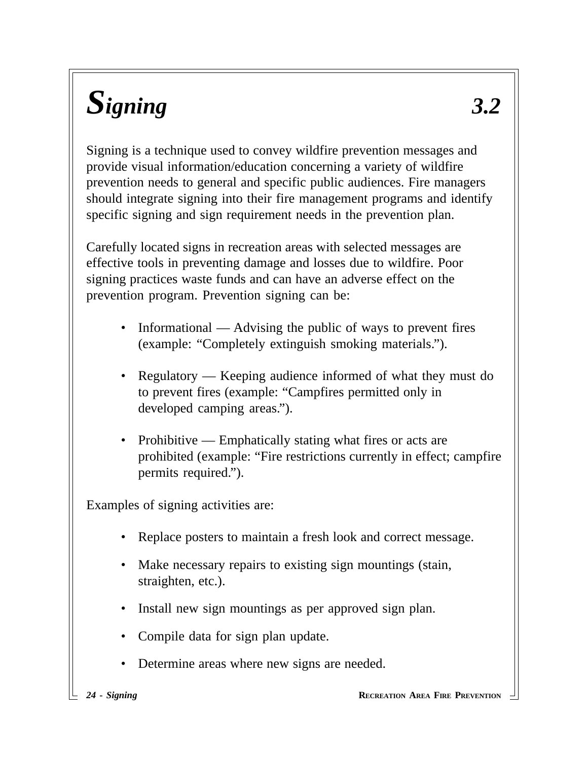# *Signing 3.2*

Signing is a technique used to convey wildfire prevention messages and provide visual information/education concerning a variety of wildfire prevention needs to general and specific public audiences. Fire managers should integrate signing into their fire management programs and identify specific signing and sign requirement needs in the prevention plan.

Carefully located signs in recreation areas with selected messages are effective tools in preventing damage and losses due to wildfire. Poor signing practices waste funds and can have an adverse effect on the prevention program. Prevention signing can be:

- Informational Advising the public of ways to prevent fires (example: "Completely extinguish smoking materials.").
- Regulatory Keeping audience informed of what they must do to prevent fires (example: "Campfires permitted only in developed camping areas.").
- Prohibitive Emphatically stating what fires or acts are prohibited (example: "Fire restrictions currently in effect; campfire permits required.").

Examples of signing activities are:

- Replace posters to maintain a fresh look and correct message.
- Make necessary repairs to existing sign mountings (stain, straighten, etc.).
- Install new sign mountings as per approved sign plan.
- Compile data for sign plan update.
- Determine areas where new signs are needed.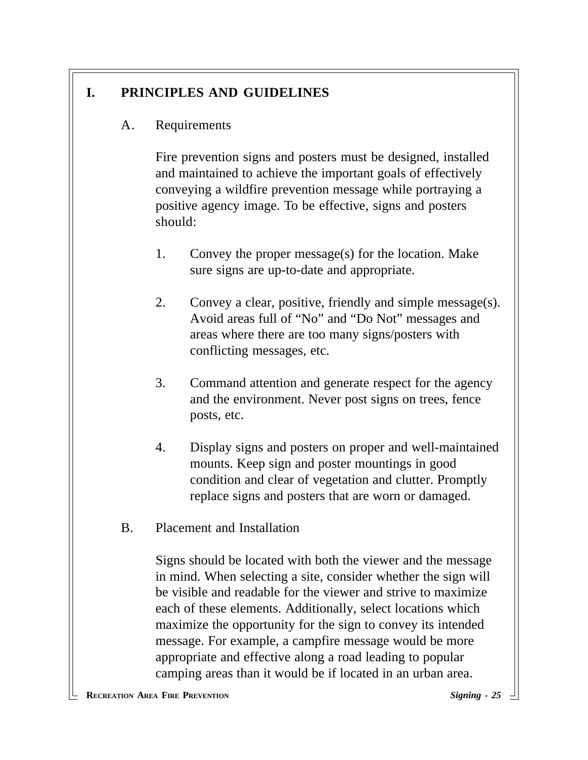#### **I. PRINCIPLES AND GUIDELINES**

#### A. Requirements

Fire prevention signs and posters must be designed, installed and maintained to achieve the important goals of effectively conveying a wildfire prevention message while portraying a positive agency image. To be effective, signs and posters should:

- 1. Convey the proper message(s) for the location. Make sure signs are up-to-date and appropriate.
- 2. Convey a clear, positive, friendly and simple message(s). Avoid areas full of "No" and "Do Not" messages and areas where there are too many signs/posters with conflicting messages, etc.
- 3. Command attention and generate respect for the agency and the environment. Never post signs on trees, fence posts, etc.
- 4. Display signs and posters on proper and well-maintained mounts. Keep sign and poster mountings in good condition and clear of vegetation and clutter. Promptly replace signs and posters that are worn or damaged.
- B. Placement and Installation

Signs should be located with both the viewer and the message in mind. When selecting a site, consider whether the sign will be visible and readable for the viewer and strive to maximize each of these elements. Additionally, select locations which maximize the opportunity for the sign to convey its intended message. For example, a campfire message would be more appropriate and effective along a road leading to popular camping areas than it would be if located in an urban area.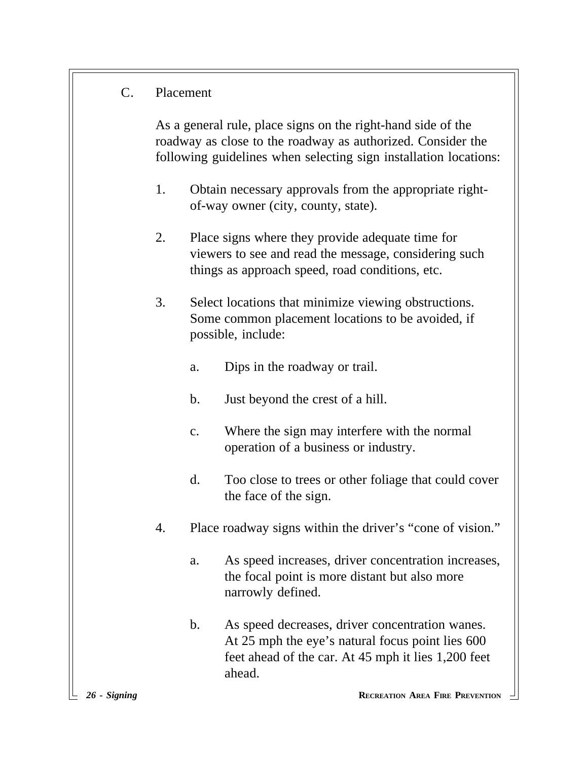C. Placement

As a general rule, place signs on the right-hand side of the roadway as close to the roadway as authorized. Consider the following guidelines when selecting sign installation locations:

- 1. Obtain necessary approvals from the appropriate rightof-way owner (city, county, state).
- 2. Place signs where they provide adequate time for viewers to see and read the message, considering such things as approach speed, road conditions, etc.
- 3. Select locations that minimize viewing obstructions. Some common placement locations to be avoided, if possible, include:
	- a. Dips in the roadway or trail.
	- b. Just beyond the crest of a hill.
	- c. Where the sign may interfere with the normal operation of a business or industry.
	- d. Too close to trees or other foliage that could cover the face of the sign.
- 4. Place roadway signs within the driver's "cone of vision."
	- a. As speed increases, driver concentration increases, the focal point is more distant but also more narrowly defined.
	- b. As speed decreases, driver concentration wanes. At 25 mph the eye's natural focus point lies 600 feet ahead of the car. At 45 mph it lies 1,200 feet ahead.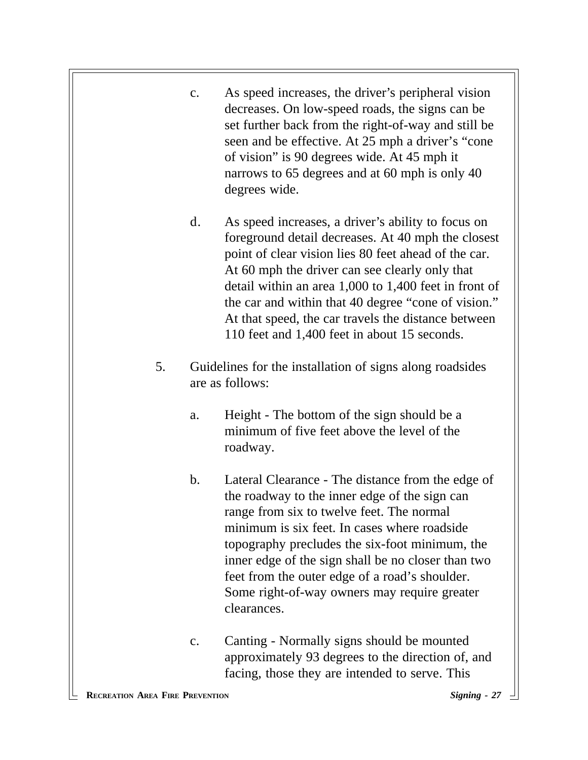- c. As speed increases, the driver's peripheral vision decreases. On low-speed roads, the signs can be set further back from the right-of-way and still be seen and be effective. At 25 mph a driver's "cone of vision" is 90 degrees wide. At 45 mph it narrows to 65 degrees and at 60 mph is only 40 degrees wide.
- d. As speed increases, a driver's ability to focus on foreground detail decreases. At 40 mph the closest point of clear vision lies 80 feet ahead of the car. At 60 mph the driver can see clearly only that detail within an area 1,000 to 1,400 feet in front of the car and within that 40 degree "cone of vision." At that speed, the car travels the distance between 110 feet and 1,400 feet in about 15 seconds.
- 5. Guidelines for the installation of signs along roadsides are as follows:
	- a. Height The bottom of the sign should be a minimum of five feet above the level of the roadway.
	- b. Lateral Clearance The distance from the edge of the roadway to the inner edge of the sign can range from six to twelve feet. The normal minimum is six feet. In cases where roadside topography precludes the six-foot minimum, the inner edge of the sign shall be no closer than two feet from the outer edge of a road's shoulder. Some right-of-way owners may require greater clearances.
	- c. Canting Normally signs should be mounted approximately 93 degrees to the direction of, and facing, those they are intended to serve. This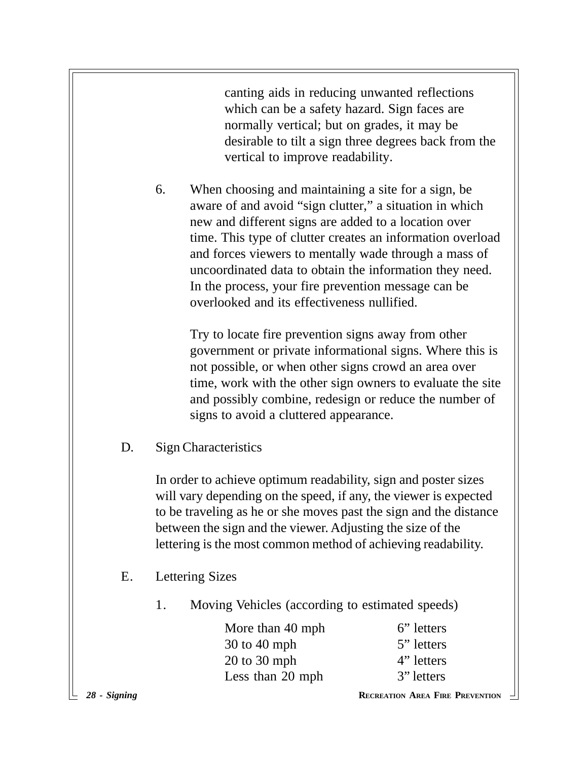canting aids in reducing unwanted reflections which can be a safety hazard. Sign faces are normally vertical; but on grades, it may be desirable to tilt a sign three degrees back from the vertical to improve readability.

6. When choosing and maintaining a site for a sign, be aware of and avoid "sign clutter," a situation in which new and different signs are added to a location over time. This type of clutter creates an information overload and forces viewers to mentally wade through a mass of uncoordinated data to obtain the information they need. In the process, your fire prevention message can be overlooked and its effectiveness nullified.

> Try to locate fire prevention signs away from other government or private informational signs. Where this is not possible, or when other signs crowd an area over time, work with the other sign owners to evaluate the site and possibly combine, redesign or reduce the number of signs to avoid a cluttered appearance.

D. Sign Characteristics

In order to achieve optimum readability, sign and poster sizes will vary depending on the speed, if any, the viewer is expected to be traveling as he or she moves past the sign and the distance between the sign and the viewer. Adjusting the size of the lettering is the most common method of achieving readability.

- E. Lettering Sizes
	- 1. Moving Vehicles (according to estimated speeds)

| More than 40 mph | 6" letters |
|------------------|------------|
| 30 to 40 mph     | 5" letters |
| 20 to 30 mph     | 4" letters |
| Less than 20 mph | 3" letters |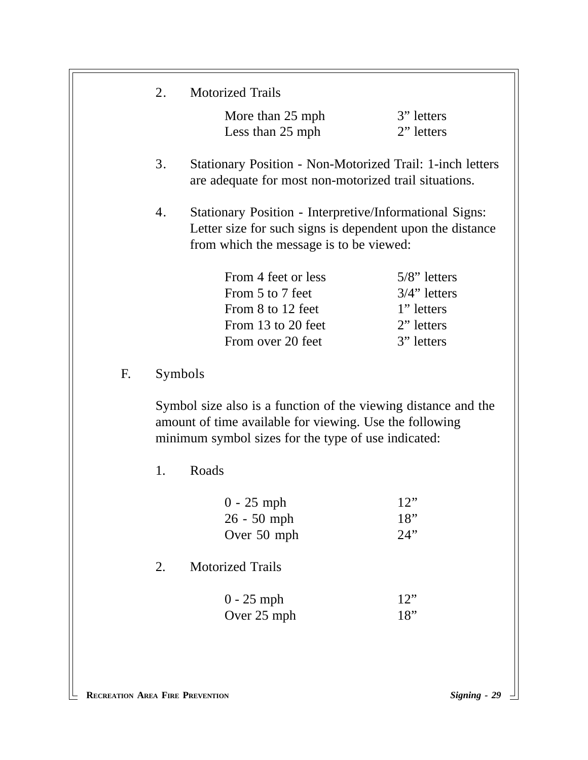|    | 2. | <b>Motorized Trails</b>                                                                                                                                                          |                                                                                                                                                                 |  |  |
|----|----|----------------------------------------------------------------------------------------------------------------------------------------------------------------------------------|-----------------------------------------------------------------------------------------------------------------------------------------------------------------|--|--|
|    |    | More than 25 mph                                                                                                                                                                 | 3" letters                                                                                                                                                      |  |  |
|    |    | Less than 25 mph                                                                                                                                                                 | 2" letters                                                                                                                                                      |  |  |
|    | 3. |                                                                                                                                                                                  | Stationary Position - Non-Motorized Trail: 1-inch letters<br>are adequate for most non-motorized trail situations.                                              |  |  |
|    | 4. |                                                                                                                                                                                  | Stationary Position - Interpretive/Informational Signs:<br>Letter size for such signs is dependent upon the distance<br>from which the message is to be viewed: |  |  |
|    |    | From 4 feet or less                                                                                                                                                              | $5/8$ " letters                                                                                                                                                 |  |  |
|    |    | From 5 to 7 feet                                                                                                                                                                 | $3/4$ " letters                                                                                                                                                 |  |  |
|    |    | From 8 to 12 feet                                                                                                                                                                | 1" letters                                                                                                                                                      |  |  |
|    |    | From 13 to 20 feet                                                                                                                                                               | 2" letters                                                                                                                                                      |  |  |
|    |    | From over 20 feet                                                                                                                                                                | 3" letters                                                                                                                                                      |  |  |
| F. |    | Symbols                                                                                                                                                                          |                                                                                                                                                                 |  |  |
|    |    | Symbol size also is a function of the viewing distance and the<br>amount of time available for viewing. Use the following<br>minimum symbol sizes for the type of use indicated: |                                                                                                                                                                 |  |  |
|    | 1. | Roads                                                                                                                                                                            |                                                                                                                                                                 |  |  |
|    |    | $0 - 25$ mph                                                                                                                                                                     | 12"                                                                                                                                                             |  |  |
|    |    | $26 - 50$ mph                                                                                                                                                                    | 18"                                                                                                                                                             |  |  |
|    |    | Over 50 mph                                                                                                                                                                      | 24"                                                                                                                                                             |  |  |
|    | 2. | <b>Motorized Trails</b>                                                                                                                                                          |                                                                                                                                                                 |  |  |
|    |    | $0 - 25$ mph                                                                                                                                                                     | 12"                                                                                                                                                             |  |  |
|    |    | Over 25 mph                                                                                                                                                                      | 18"                                                                                                                                                             |  |  |
|    |    |                                                                                                                                                                                  |                                                                                                                                                                 |  |  |
|    |    |                                                                                                                                                                                  |                                                                                                                                                                 |  |  |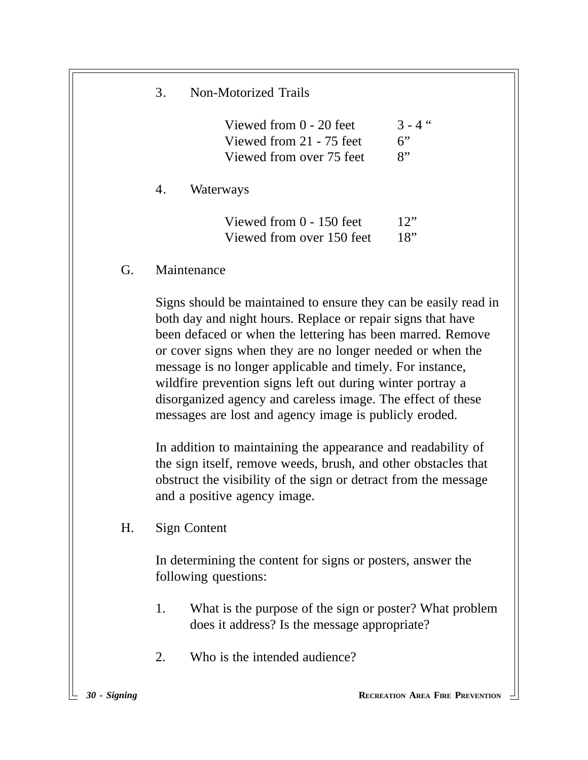|    | 3.                                                                                                                                                                                                                                                                                                                                                                                                                                                                                                            |             | <b>Non-Motorized Trails</b>                                                                                                                                                                                                       |                       |  |
|----|---------------------------------------------------------------------------------------------------------------------------------------------------------------------------------------------------------------------------------------------------------------------------------------------------------------------------------------------------------------------------------------------------------------------------------------------------------------------------------------------------------------|-------------|-----------------------------------------------------------------------------------------------------------------------------------------------------------------------------------------------------------------------------------|-----------------------|--|
|    |                                                                                                                                                                                                                                                                                                                                                                                                                                                                                                               |             | Viewed from 0 - 20 feet<br>Viewed from 21 - 75 feet<br>Viewed from over 75 feet                                                                                                                                                   | $3 - 4$ "<br>6"<br>8" |  |
|    | 4.                                                                                                                                                                                                                                                                                                                                                                                                                                                                                                            | Waterways   |                                                                                                                                                                                                                                   |                       |  |
|    |                                                                                                                                                                                                                                                                                                                                                                                                                                                                                                               |             | Viewed from 0 - 150 feet<br>Viewed from over 150 feet                                                                                                                                                                             | 12"<br>18"            |  |
| G. |                                                                                                                                                                                                                                                                                                                                                                                                                                                                                                               | Maintenance |                                                                                                                                                                                                                                   |                       |  |
|    | Signs should be maintained to ensure they can be easily read in<br>both day and night hours. Replace or repair signs that have<br>been defaced or when the lettering has been marred. Remove<br>or cover signs when they are no longer needed or when the<br>message is no longer applicable and timely. For instance,<br>wildfire prevention signs left out during winter portray a<br>disorganized agency and careless image. The effect of these<br>messages are lost and agency image is publicly eroded. |             |                                                                                                                                                                                                                                   |                       |  |
|    |                                                                                                                                                                                                                                                                                                                                                                                                                                                                                                               |             | In addition to maintaining the appearance and readability of<br>the sign itself, remove weeds, brush, and other obstacles that<br>obstruct the visibility of the sign or detract from the message<br>and a positive agency image. |                       |  |
| H. | <b>Sign Content</b><br>In determining the content for signs or posters, answer the<br>following questions:                                                                                                                                                                                                                                                                                                                                                                                                    |             |                                                                                                                                                                                                                                   |                       |  |
|    |                                                                                                                                                                                                                                                                                                                                                                                                                                                                                                               |             |                                                                                                                                                                                                                                   |                       |  |
|    | 1.                                                                                                                                                                                                                                                                                                                                                                                                                                                                                                            |             | What is the purpose of the sign or poster? What problem<br>does it address? Is the message appropriate?                                                                                                                           |                       |  |
|    | 2.                                                                                                                                                                                                                                                                                                                                                                                                                                                                                                            |             | Who is the intended audience?                                                                                                                                                                                                     |                       |  |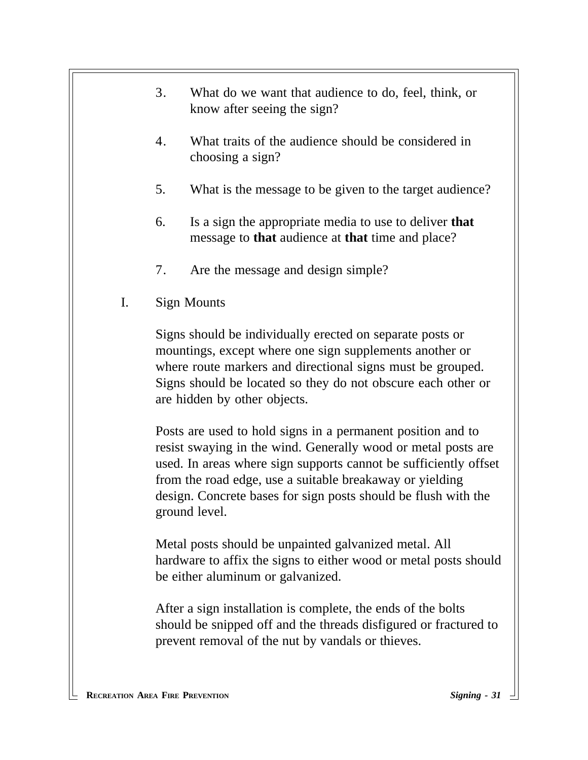- 3. What do we want that audience to do, feel, think, or know after seeing the sign?
- 4. What traits of the audience should be considered in choosing a sign?
- 5. What is the message to be given to the target audience?
- 6. Is a sign the appropriate media to use to deliver **that** message to **that** audience at **that** time and place?
- 7. Are the message and design simple?
- I. Sign Mounts

Signs should be individually erected on separate posts or mountings, except where one sign supplements another or where route markers and directional signs must be grouped. Signs should be located so they do not obscure each other or are hidden by other objects.

Posts are used to hold signs in a permanent position and to resist swaying in the wind. Generally wood or metal posts are used. In areas where sign supports cannot be sufficiently offset from the road edge, use a suitable breakaway or yielding design. Concrete bases for sign posts should be flush with the ground level.

Metal posts should be unpainted galvanized metal. All hardware to affix the signs to either wood or metal posts should be either aluminum or galvanized.

After a sign installation is complete, the ends of the bolts should be snipped off and the threads disfigured or fractured to prevent removal of the nut by vandals or thieves.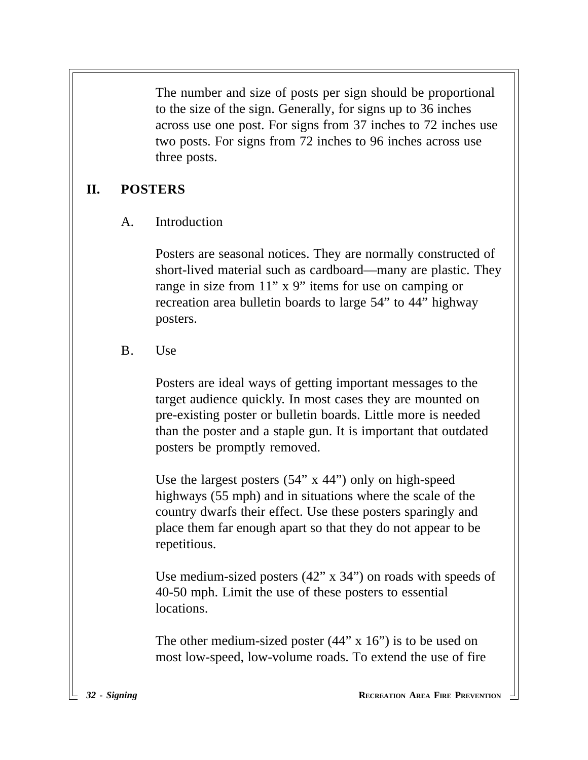The number and size of posts per sign should be proportional to the size of the sign. Generally, for signs up to 36 inches across use one post. For signs from 37 inches to 72 inches use two posts. For signs from 72 inches to 96 inches across use three posts.

#### **II. POSTERS**

#### A. Introduction

Posters are seasonal notices. They are normally constructed of short-lived material such as cardboard—many are plastic. They range in size from 11" x 9" items for use on camping or recreation area bulletin boards to large 54" to 44" highway posters.

#### B. Use

Posters are ideal ways of getting important messages to the target audience quickly. In most cases they are mounted on pre-existing poster or bulletin boards. Little more is needed than the poster and a staple gun. It is important that outdated posters be promptly removed.

Use the largest posters  $(54" \times 44")$  only on high-speed highways (55 mph) and in situations where the scale of the country dwarfs their effect. Use these posters sparingly and place them far enough apart so that they do not appear to be repetitious.

Use medium-sized posters (42" x 34") on roads with speeds of 40-50 mph. Limit the use of these posters to essential locations.

The other medium-sized poster (44" x 16") is to be used on most low-speed, low-volume roads. To extend the use of fire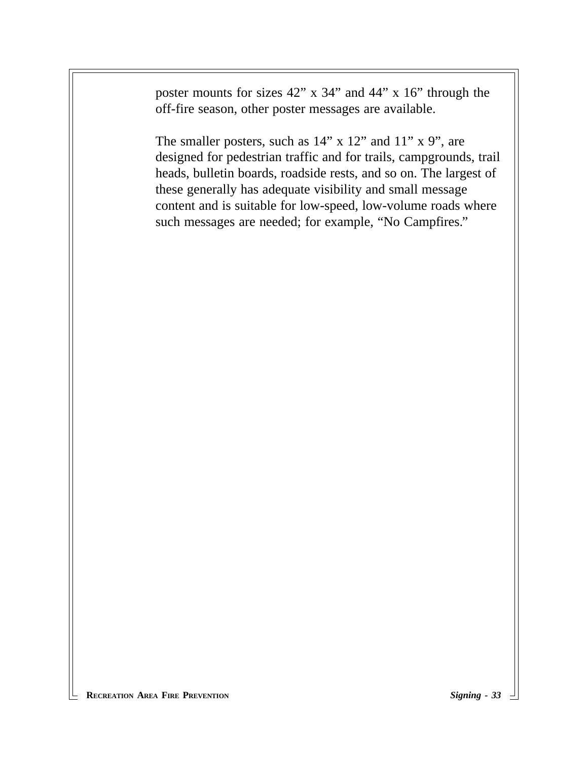poster mounts for sizes 42" x 34" and 44" x 16" through the off-fire season, other poster messages are available.

The smaller posters, such as 14" x 12" and 11" x 9", are designed for pedestrian traffic and for trails, campgrounds, trail heads, bulletin boards, roadside rests, and so on. The largest of these generally has adequate visibility and small message content and is suitable for low-speed, low-volume roads where such messages are needed; for example, "No Campfires."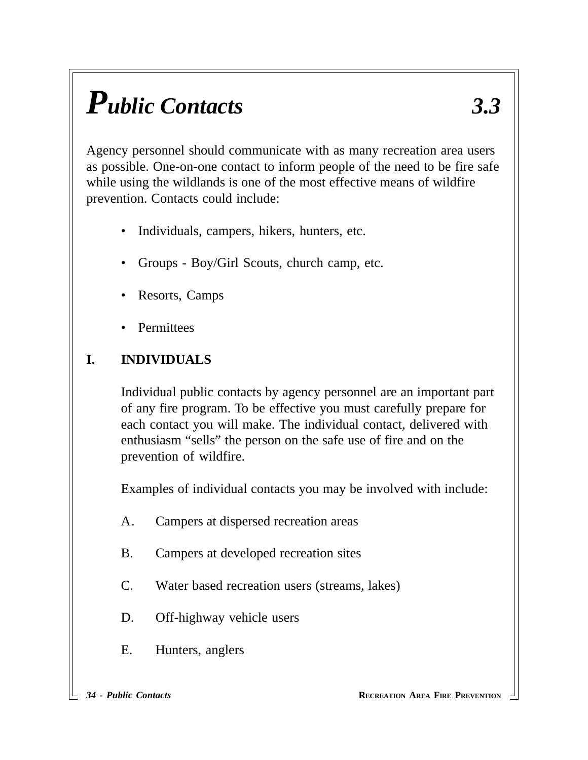# *Public Contacts 3.3*

Agency personnel should communicate with as many recreation area users as possible. One-on-one contact to inform people of the need to be fire safe while using the wildlands is one of the most effective means of wildfire prevention. Contacts could include:

- Individuals, campers, hikers, hunters, etc.
- Groups Boy/Girl Scouts, church camp, etc.
- Resorts, Camps
- **Permittees**

#### **I. INDIVIDUALS**

Individual public contacts by agency personnel are an important part of any fire program. To be effective you must carefully prepare for each contact you will make. The individual contact, delivered with enthusiasm "sells" the person on the safe use of fire and on the prevention of wildfire.

Examples of individual contacts you may be involved with include:

- A. Campers at dispersed recreation areas
- B. Campers at developed recreation sites
- C. Water based recreation users (streams, lakes)
- D. Off-highway vehicle users
- E. Hunters, anglers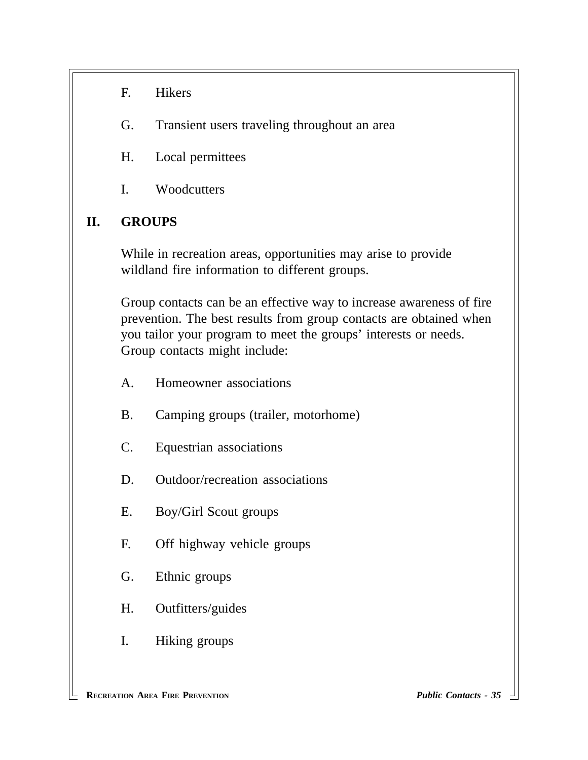- F. Hikers
- G. Transient users traveling throughout an area
- H. Local permittees
- I. Woodcutters

#### **II. GROUPS**

While in recreation areas, opportunities may arise to provide wildland fire information to different groups.

Group contacts can be an effective way to increase awareness of fire prevention. The best results from group contacts are obtained when you tailor your program to meet the groups' interests or needs. Group contacts might include:

- A. Homeowner associations
- B. Camping groups (trailer, motorhome)
- C. Equestrian associations
- D. Outdoor/recreation associations
- E. Boy/Girl Scout groups
- F. Off highway vehicle groups
- G. Ethnic groups
- H. Outfitters/guides
- I. Hiking groups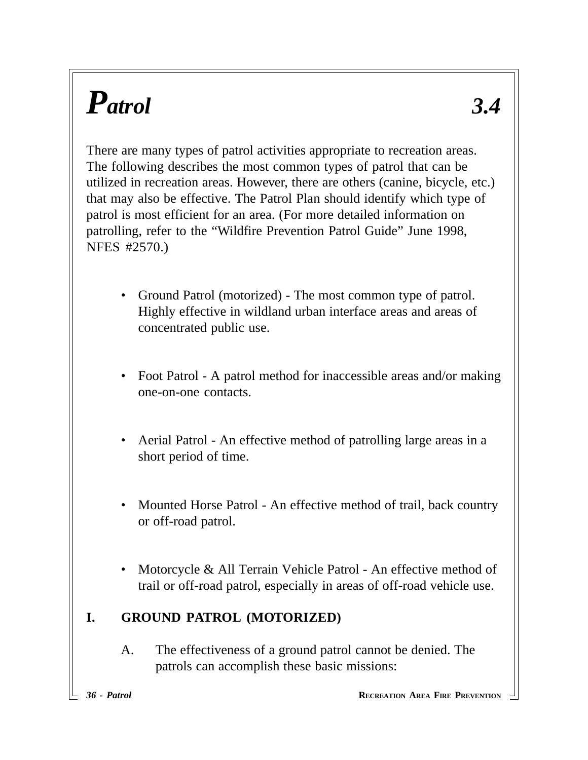# *Patrol 3.4*

There are many types of patrol activities appropriate to recreation areas. The following describes the most common types of patrol that can be utilized in recreation areas. However, there are others (canine, bicycle, etc.) that may also be effective. The Patrol Plan should identify which type of patrol is most efficient for an area. (For more detailed information on patrolling, refer to the "Wildfire Prevention Patrol Guide" June 1998, NFES #2570.)

- Ground Patrol (motorized) The most common type of patrol. Highly effective in wildland urban interface areas and areas of concentrated public use.
- Foot Patrol A patrol method for inaccessible areas and/or making one-on-one contacts.
- Aerial Patrol An effective method of patrolling large areas in a short period of time.
- Mounted Horse Patrol An effective method of trail, back country or off-road patrol.
- Motorcycle & All Terrain Vehicle Patrol An effective method of trail or off-road patrol, especially in areas of off-road vehicle use.

#### **I. GROUND PATROL (MOTORIZED)**

A. The effectiveness of a ground patrol cannot be denied. The patrols can accomplish these basic missions: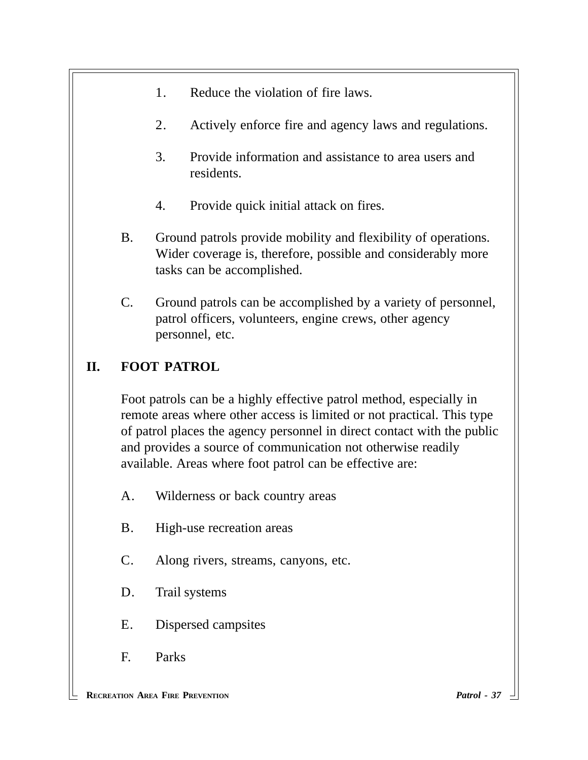- 1. Reduce the violation of fire laws.
- 2. Actively enforce fire and agency laws and regulations.
- 3. Provide information and assistance to area users and residents.
- 4. Provide quick initial attack on fires.
- B. Ground patrols provide mobility and flexibility of operations. Wider coverage is, therefore, possible and considerably more tasks can be accomplished.
- C. Ground patrols can be accomplished by a variety of personnel, patrol officers, volunteers, engine crews, other agency personnel, etc.

#### **II. FOOT PATROL**

Foot patrols can be a highly effective patrol method, especially in remote areas where other access is limited or not practical. This type of patrol places the agency personnel in direct contact with the public and provides a source of communication not otherwise readily available. Areas where foot patrol can be effective are:

- A. Wilderness or back country areas
- B. High-use recreation areas
- C. Along rivers, streams, canyons, etc.
- D. Trail systems
- E. Dispersed campsites
- F. Parks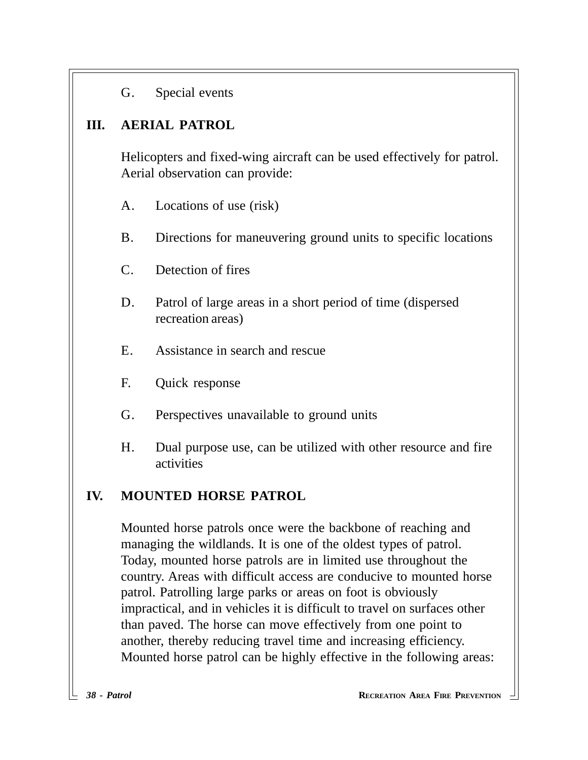#### G. Special events

#### **III. AERIAL PATROL**

Helicopters and fixed-wing aircraft can be used effectively for patrol. Aerial observation can provide:

- A. Locations of use (risk)
- B. Directions for maneuvering ground units to specific locations
- C. Detection of fires
- D. Patrol of large areas in a short period of time (dispersed recreation areas)
- E. Assistance in search and rescue
- F. Quick response
- G. Perspectives unavailable to ground units
- H. Dual purpose use, can be utilized with other resource and fire activities

#### **IV. MOUNTED HORSE PATROL**

Mounted horse patrols once were the backbone of reaching and managing the wildlands. It is one of the oldest types of patrol. Today, mounted horse patrols are in limited use throughout the country. Areas with difficult access are conducive to mounted horse patrol. Patrolling large parks or areas on foot is obviously impractical, and in vehicles it is difficult to travel on surfaces other than paved. The horse can move effectively from one point to another, thereby reducing travel time and increasing efficiency. Mounted horse patrol can be highly effective in the following areas: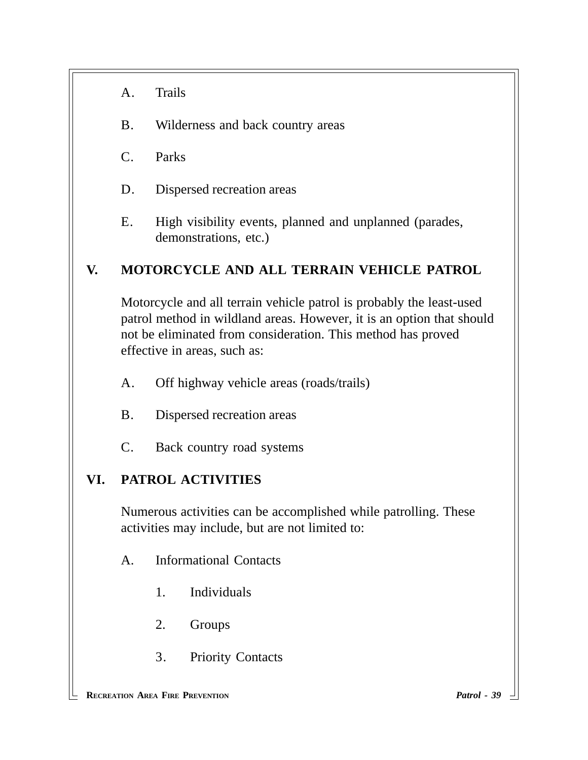- A. Trails
- B. Wilderness and back country areas
- C. Parks
- D. Dispersed recreation areas
- E. High visibility events, planned and unplanned (parades, demonstrations, etc.)

#### **V. MOTORCYCLE AND ALL TERRAIN VEHICLE PATROL**

Motorcycle and all terrain vehicle patrol is probably the least-used patrol method in wildland areas. However, it is an option that should not be eliminated from consideration. This method has proved effective in areas, such as:

- A. Off highway vehicle areas (roads/trails)
- B. Dispersed recreation areas
- C. Back country road systems

#### **VI. PATROL ACTIVITIES**

Numerous activities can be accomplished while patrolling. These activities may include, but are not limited to:

- A. Informational Contacts
	- 1. Individuals
	- 2. Groups
	- 3. Priority Contacts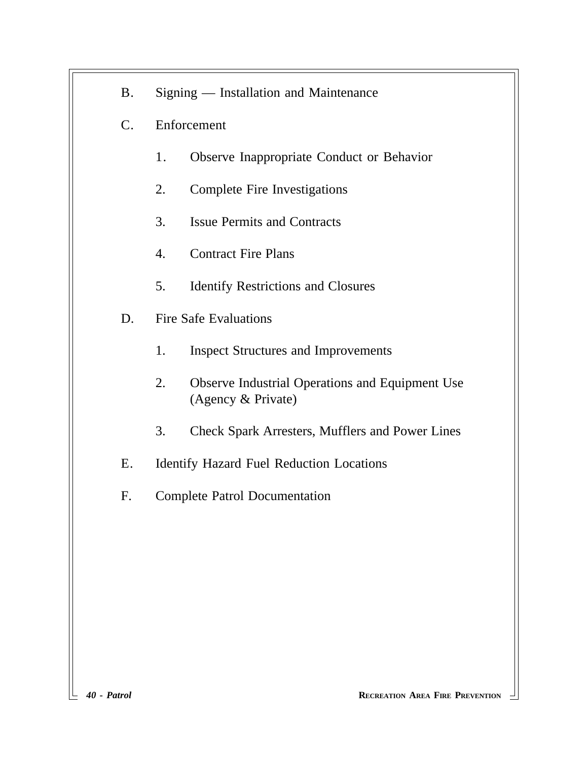- B. Signing Installation and Maintenance
- C. Enforcement
	- 1. Observe Inappropriate Conduct or Behavior
	- 2. Complete Fire Investigations
	- 3. Issue Permits and Contracts
	- 4. Contract Fire Plans
	- 5. Identify Restrictions and Closures
- D. Fire Safe Evaluations
	- 1. Inspect Structures and Improvements
	- 2. Observe Industrial Operations and Equipment Use (Agency & Private)
	- 3. Check Spark Arresters, Mufflers and Power Lines
- E. Identify Hazard Fuel Reduction Locations
- F. Complete Patrol Documentation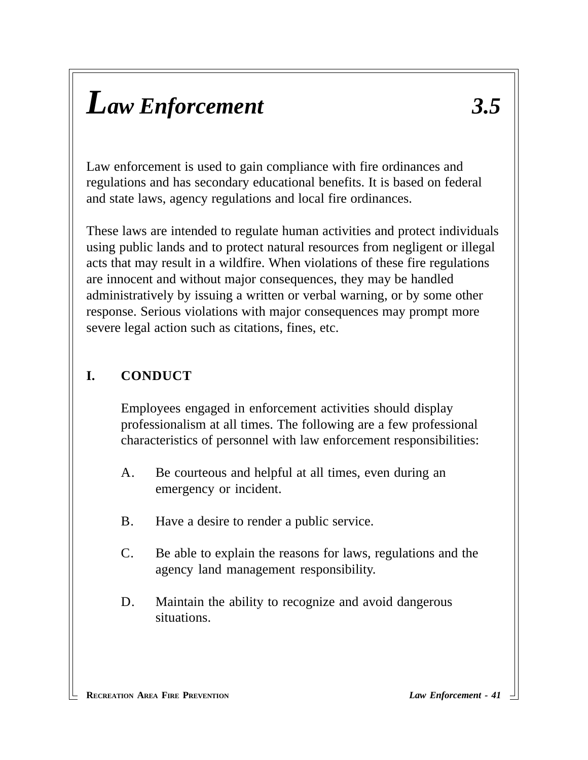## *Law Enforcement 3.5*

Law enforcement is used to gain compliance with fire ordinances and regulations and has secondary educational benefits. It is based on federal and state laws, agency regulations and local fire ordinances.

These laws are intended to regulate human activities and protect individuals using public lands and to protect natural resources from negligent or illegal acts that may result in a wildfire. When violations of these fire regulations are innocent and without major consequences, they may be handled administratively by issuing a written or verbal warning, or by some other response. Serious violations with major consequences may prompt more severe legal action such as citations, fines, etc.

#### **I. CONDUCT**

Employees engaged in enforcement activities should display professionalism at all times. The following are a few professional characteristics of personnel with law enforcement responsibilities:

- A. Be courteous and helpful at all times, even during an emergency or incident.
- B. Have a desire to render a public service.
- C. Be able to explain the reasons for laws, regulations and the agency land management responsibility.
- D. Maintain the ability to recognize and avoid dangerous situations.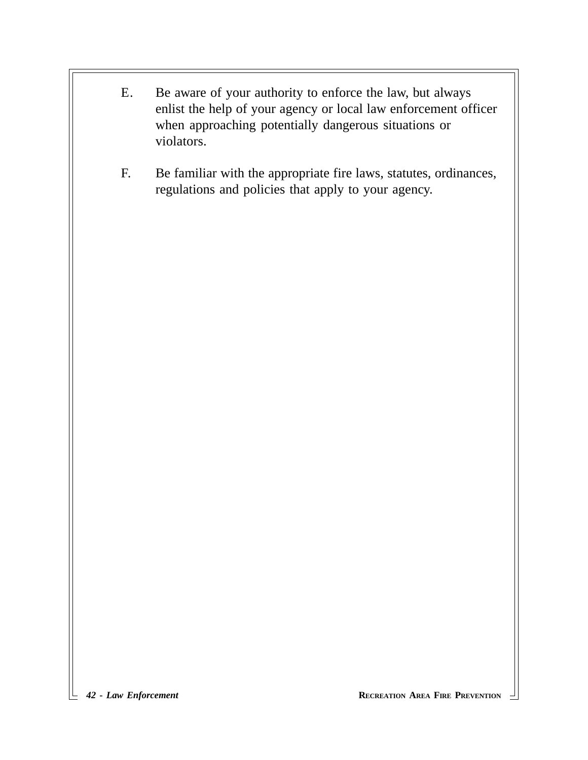- E. Be aware of your authority to enforce the law, but always enlist the help of your agency or local law enforcement officer when approaching potentially dangerous situations or violators.
- F. Be familiar with the appropriate fire laws, statutes, ordinances, regulations and policies that apply to your agency.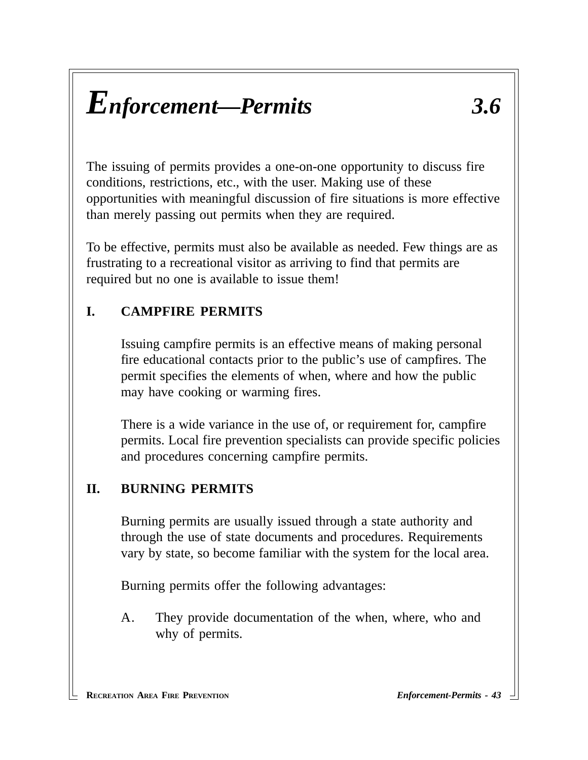## *Enforcement—Permits 3.6*

The issuing of permits provides a one-on-one opportunity to discuss fire conditions, restrictions, etc., with the user. Making use of these opportunities with meaningful discussion of fire situations is more effective than merely passing out permits when they are required.

To be effective, permits must also be available as needed. Few things are as frustrating to a recreational visitor as arriving to find that permits are required but no one is available to issue them!

#### **I. CAMPFIRE PERMITS**

Issuing campfire permits is an effective means of making personal fire educational contacts prior to the public's use of campfires. The permit specifies the elements of when, where and how the public may have cooking or warming fires.

There is a wide variance in the use of, or requirement for, campfire permits. Local fire prevention specialists can provide specific policies and procedures concerning campfire permits.

#### **II. BURNING PERMITS**

Burning permits are usually issued through a state authority and through the use of state documents and procedures. Requirements vary by state, so become familiar with the system for the local area.

Burning permits offer the following advantages:

A. They provide documentation of the when, where, who and why of permits.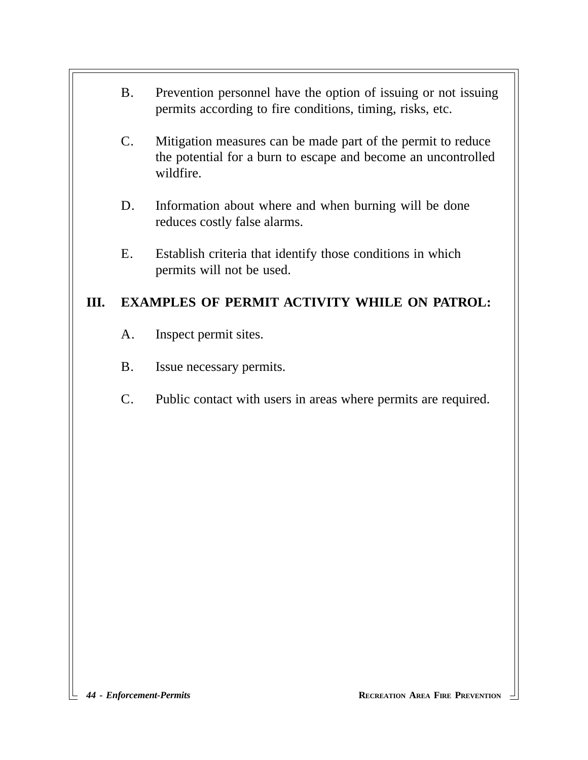- B. Prevention personnel have the option of issuing or not issuing permits according to fire conditions, timing, risks, etc.
- C. Mitigation measures can be made part of the permit to reduce the potential for a burn to escape and become an uncontrolled wildfire.
- D. Information about where and when burning will be done reduces costly false alarms.
- E. Establish criteria that identify those conditions in which permits will not be used.

#### **III. EXAMPLES OF PERMIT ACTIVITY WHILE ON PATROL:**

- A. Inspect permit sites.
- B. Issue necessary permits.
- C. Public contact with users in areas where permits are required.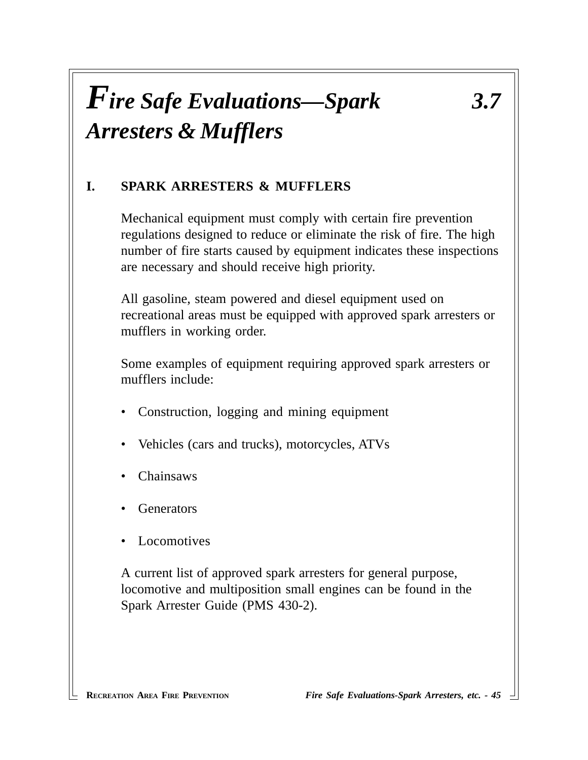### *Fire Safe Evaluations—Spark 3.7 Arresters & Mufflers*

#### **I. SPARK ARRESTERS & MUFFLERS**

Mechanical equipment must comply with certain fire prevention regulations designed to reduce or eliminate the risk of fire. The high number of fire starts caused by equipment indicates these inspections are necessary and should receive high priority.

All gasoline, steam powered and diesel equipment used on recreational areas must be equipped with approved spark arresters or mufflers in working order.

Some examples of equipment requiring approved spark arresters or mufflers include:

- Construction, logging and mining equipment
- Vehicles (cars and trucks), motorcycles, ATVs
- Chainsaws
- **Generators**
- **Locomotives**

A current list of approved spark arresters for general purpose, locomotive and multiposition small engines can be found in the Spark Arrester Guide (PMS 430-2).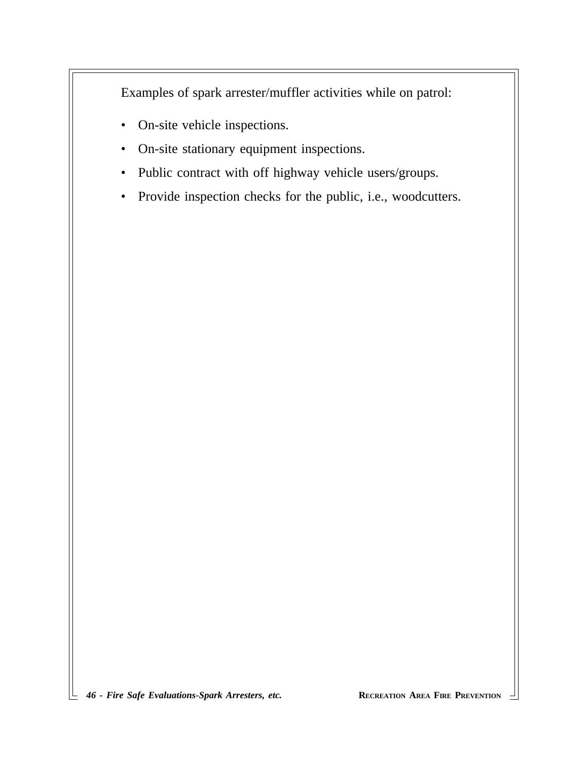Examples of spark arrester/muffler activities while on patrol:

- On-site vehicle inspections.
- On-site stationary equipment inspections.
- Public contract with off highway vehicle users/groups.
- Provide inspection checks for the public, i.e., woodcutters.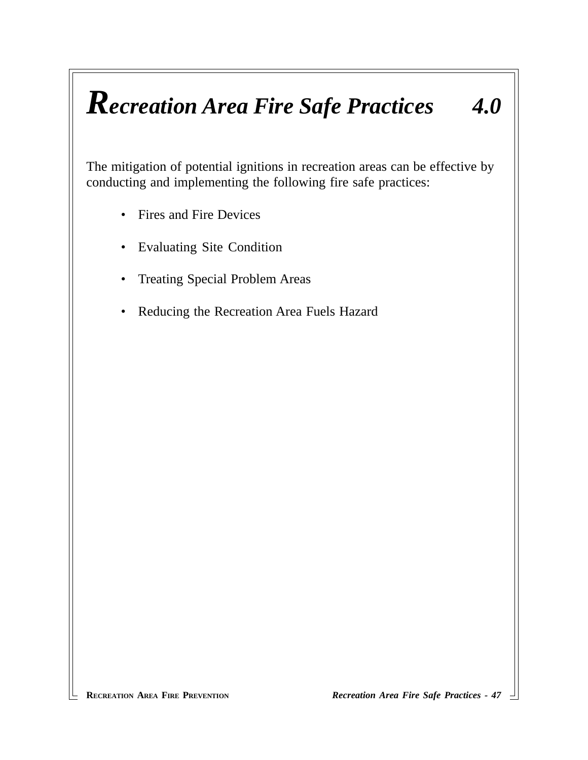## *Recreation Area Fire Safe Practices 4.0*

The mitigation of potential ignitions in recreation areas can be effective by conducting and implementing the following fire safe practices:

- Fires and Fire Devices
- Evaluating Site Condition
- Treating Special Problem Areas
- Reducing the Recreation Area Fuels Hazard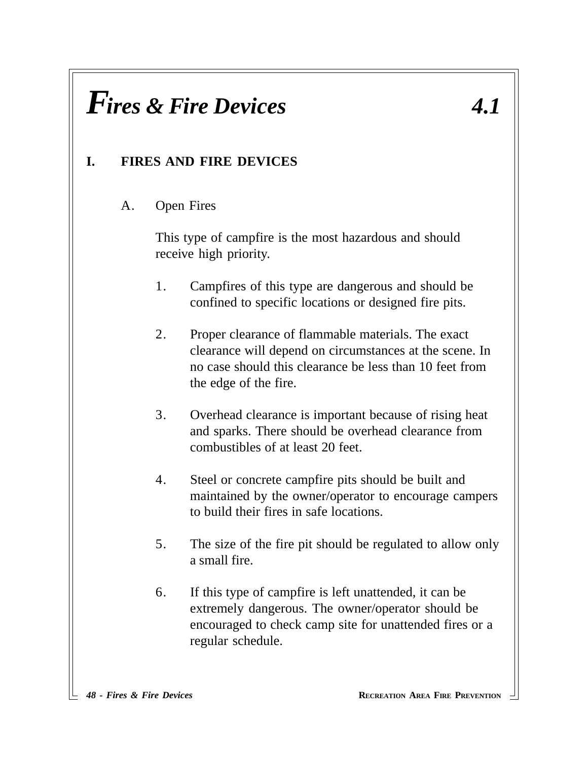## *Fires & Fire Devices 4.1*

#### **I. FIRES AND FIRE DEVICES**

#### A. Open Fires

This type of campfire is the most hazardous and should receive high priority.

- 1. Campfires of this type are dangerous and should be confined to specific locations or designed fire pits.
- 2. Proper clearance of flammable materials. The exact clearance will depend on circumstances at the scene. In no case should this clearance be less than 10 feet from the edge of the fire.
- 3. Overhead clearance is important because of rising heat and sparks. There should be overhead clearance from combustibles of at least 20 feet.
- 4. Steel or concrete campfire pits should be built and maintained by the owner/operator to encourage campers to build their fires in safe locations.
- 5. The size of the fire pit should be regulated to allow only a small fire.
- 6. If this type of campfire is left unattended, it can be extremely dangerous. The owner/operator should be encouraged to check camp site for unattended fires or a regular schedule.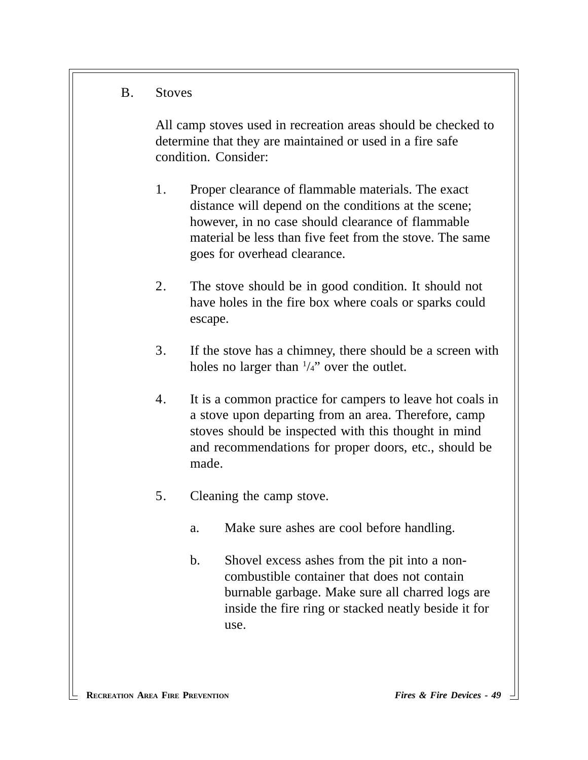B. Stoves

All camp stoves used in recreation areas should be checked to determine that they are maintained or used in a fire safe condition. Consider:

- 1. Proper clearance of flammable materials. The exact distance will depend on the conditions at the scene; however, in no case should clearance of flammable material be less than five feet from the stove. The same goes for overhead clearance.
- 2. The stove should be in good condition. It should not have holes in the fire box where coals or sparks could escape.
- 3. If the stove has a chimney, there should be a screen with holes no larger than  $\frac{1}{4}$ " over the outlet.
- 4. It is a common practice for campers to leave hot coals in a stove upon departing from an area. Therefore, camp stoves should be inspected with this thought in mind and recommendations for proper doors, etc., should be made.
- 5. Cleaning the camp stove.
	- a. Make sure ashes are cool before handling.
	- b. Shovel excess ashes from the pit into a noncombustible container that does not contain burnable garbage. Make sure all charred logs are inside the fire ring or stacked neatly beside it for use.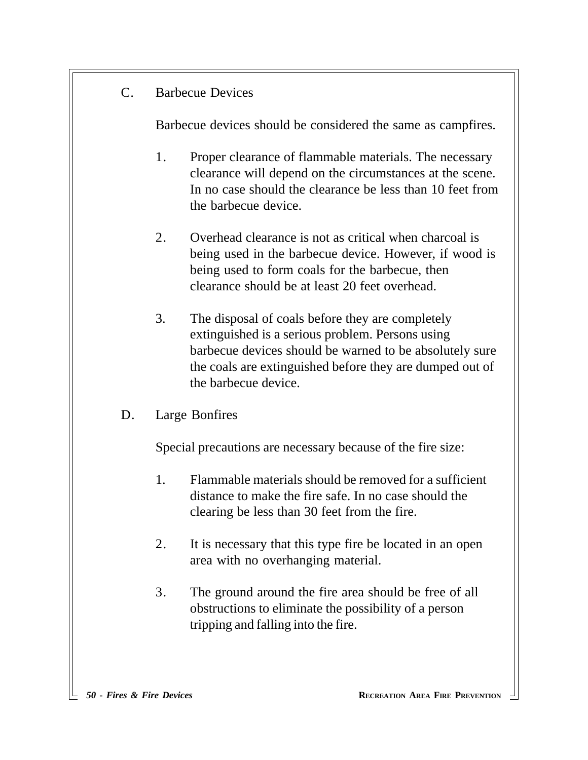C. Barbecue Devices

Barbecue devices should be considered the same as campfires.

- 1. Proper clearance of flammable materials. The necessary clearance will depend on the circumstances at the scene. In no case should the clearance be less than 10 feet from the barbecue device.
- 2. Overhead clearance is not as critical when charcoal is being used in the barbecue device. However, if wood is being used to form coals for the barbecue, then clearance should be at least 20 feet overhead.
- 3. The disposal of coals before they are completely extinguished is a serious problem. Persons using barbecue devices should be warned to be absolutely sure the coals are extinguished before they are dumped out of the barbecue device.
- D. Large Bonfires

Special precautions are necessary because of the fire size:

- 1. Flammable materials should be removed for a sufficient distance to make the fire safe. In no case should the clearing be less than 30 feet from the fire.
- 2. It is necessary that this type fire be located in an open area with no overhanging material.
- 3. The ground around the fire area should be free of all obstructions to eliminate the possibility of a person tripping and falling into the fire.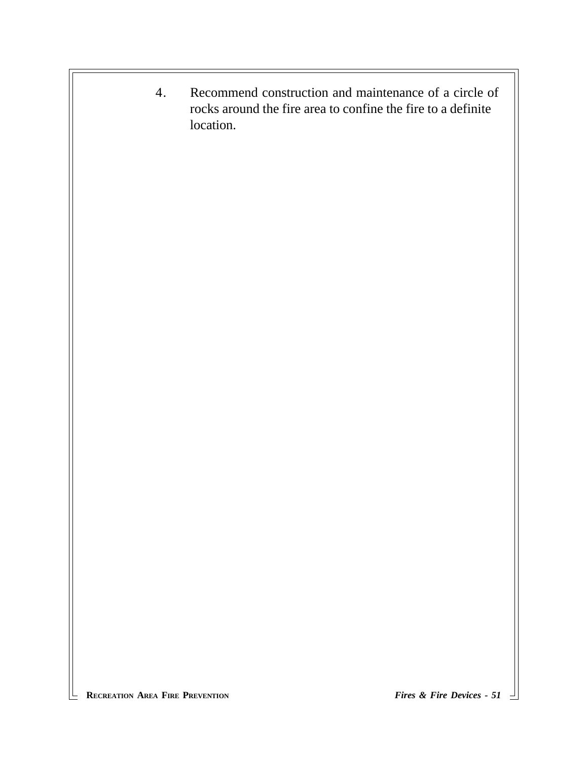4. Recommend construction and maintenance of a circle of rocks around the fire area to confine the fire to a definite location.

 $\overline{\phantom{a}}$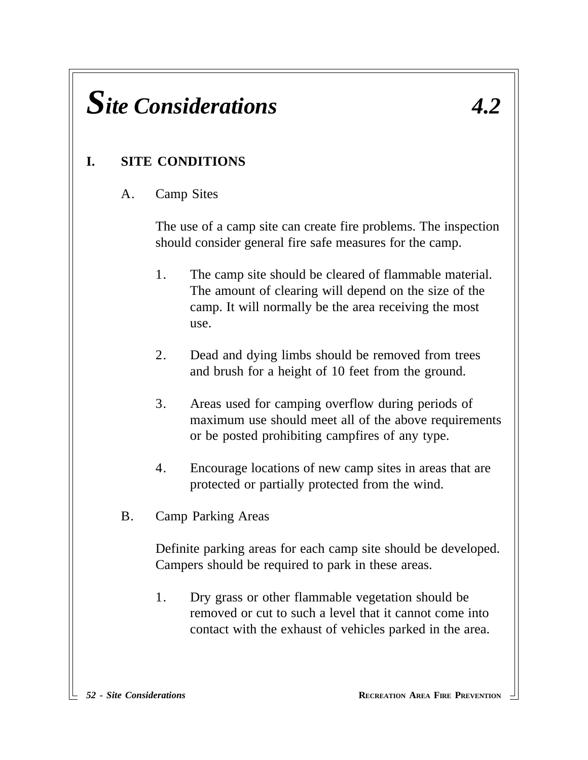## *Site Considerations 4.2*

#### **I. SITE CONDITIONS**

A. Camp Sites

The use of a camp site can create fire problems. The inspection should consider general fire safe measures for the camp.

- 1. The camp site should be cleared of flammable material. The amount of clearing will depend on the size of the camp. It will normally be the area receiving the most use.
- 2. Dead and dying limbs should be removed from trees and brush for a height of 10 feet from the ground.
- 3. Areas used for camping overflow during periods of maximum use should meet all of the above requirements or be posted prohibiting campfires of any type.
- 4. Encourage locations of new camp sites in areas that are protected or partially protected from the wind.
- B. Camp Parking Areas

Definite parking areas for each camp site should be developed. Campers should be required to park in these areas.

1. Dry grass or other flammable vegetation should be removed or cut to such a level that it cannot come into contact with the exhaust of vehicles parked in the area.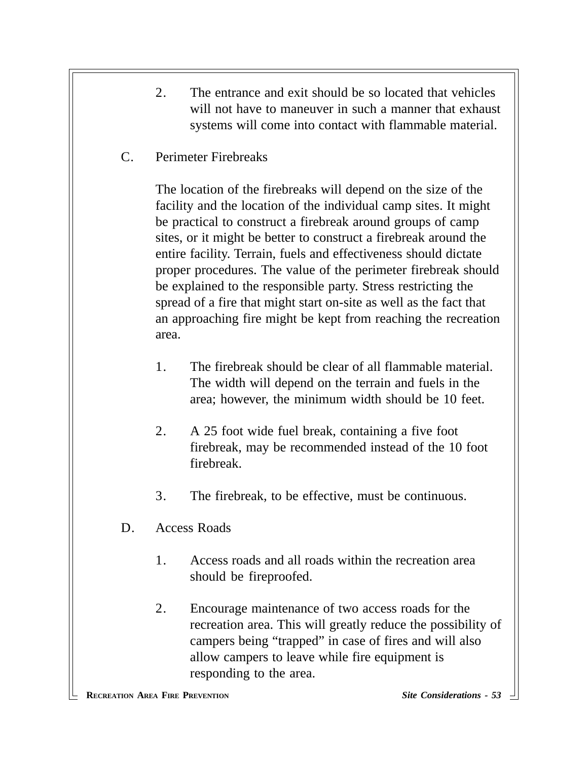- 2. The entrance and exit should be so located that vehicles will not have to maneuver in such a manner that exhaust systems will come into contact with flammable material.
- C. Perimeter Firebreaks

The location of the firebreaks will depend on the size of the facility and the location of the individual camp sites. It might be practical to construct a firebreak around groups of camp sites, or it might be better to construct a firebreak around the entire facility. Terrain, fuels and effectiveness should dictate proper procedures. The value of the perimeter firebreak should be explained to the responsible party. Stress restricting the spread of a fire that might start on-site as well as the fact that an approaching fire might be kept from reaching the recreation area.

- 1. The firebreak should be clear of all flammable material. The width will depend on the terrain and fuels in the area; however, the minimum width should be 10 feet.
- 2. A 25 foot wide fuel break, containing a five foot firebreak, may be recommended instead of the 10 foot firebreak.
- 3. The firebreak, to be effective, must be continuous.
- D. Access Roads
	- 1. Access roads and all roads within the recreation area should be fireproofed.
	- 2. Encourage maintenance of two access roads for the recreation area. This will greatly reduce the possibility of campers being "trapped" in case of fires and will also allow campers to leave while fire equipment is responding to the area.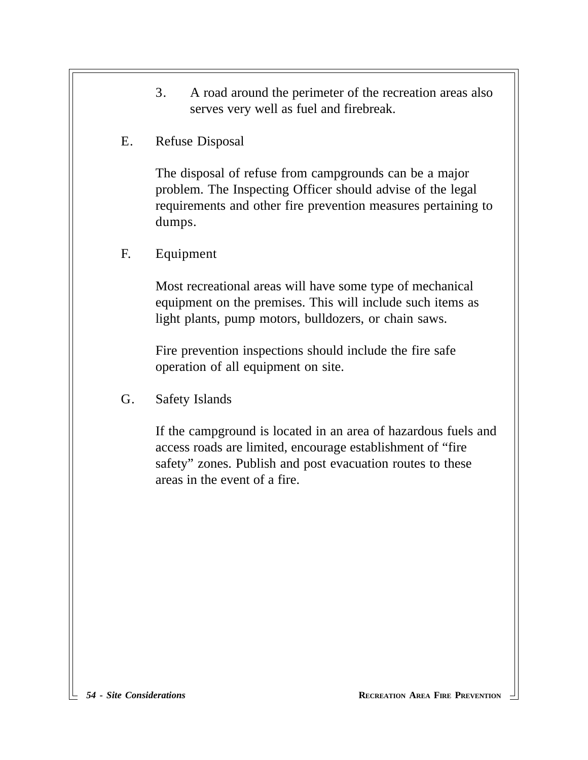- 3. A road around the perimeter of the recreation areas also serves very well as fuel and firebreak.
- E. Refuse Disposal

The disposal of refuse from campgrounds can be a major problem. The Inspecting Officer should advise of the legal requirements and other fire prevention measures pertaining to dumps.

F. Equipment

Most recreational areas will have some type of mechanical equipment on the premises. This will include such items as light plants, pump motors, bulldozers, or chain saws.

Fire prevention inspections should include the fire safe operation of all equipment on site.

G. Safety Islands

If the campground is located in an area of hazardous fuels and access roads are limited, encourage establishment of "fire safety" zones. Publish and post evacuation routes to these areas in the event of a fire.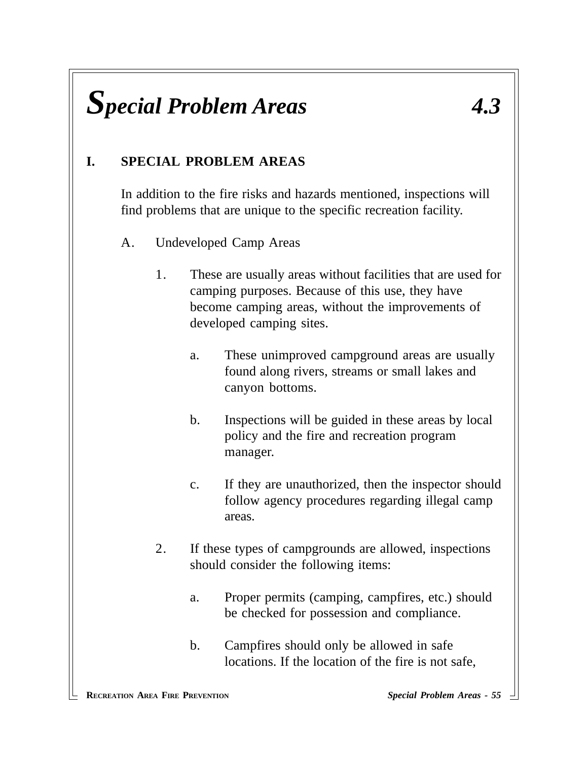### *Special Problem Areas 4.3*

#### **I. SPECIAL PROBLEM AREAS**

In addition to the fire risks and hazards mentioned, inspections will find problems that are unique to the specific recreation facility.

- A. Undeveloped Camp Areas
	- 1. These are usually areas without facilities that are used for camping purposes. Because of this use, they have become camping areas, without the improvements of developed camping sites.
		- a. These unimproved campground areas are usually found along rivers, streams or small lakes and canyon bottoms.
		- b. Inspections will be guided in these areas by local policy and the fire and recreation program manager.
		- c. If they are unauthorized, then the inspector should follow agency procedures regarding illegal camp areas.
	- 2. If these types of campgrounds are allowed, inspections should consider the following items:
		- a. Proper permits (camping, campfires, etc.) should be checked for possession and compliance.
		- b. Campfires should only be allowed in safe locations. If the location of the fire is not safe,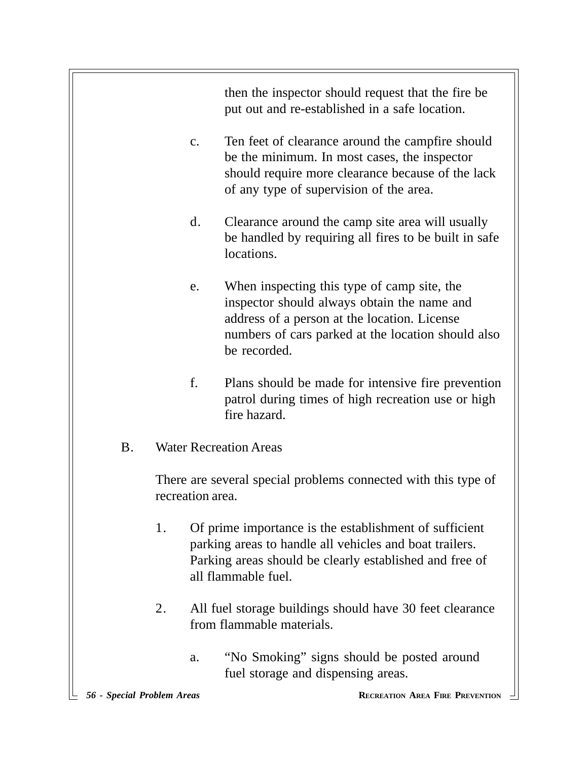then the inspector should request that the fire be put out and re-established in a safe location.

- c. Ten feet of clearance around the campfire should be the minimum. In most cases, the inspector should require more clearance because of the lack of any type of supervision of the area.
- d. Clearance around the camp site area will usually be handled by requiring all fires to be built in safe locations.
- e. When inspecting this type of camp site, the inspector should always obtain the name and address of a person at the location. License numbers of cars parked at the location should also be recorded.
- f. Plans should be made for intensive fire prevention patrol during times of high recreation use or high fire hazard.
- B. Water Recreation Areas

There are several special problems connected with this type of recreation area.

- 1. Of prime importance is the establishment of sufficient parking areas to handle all vehicles and boat trailers. Parking areas should be clearly established and free of all flammable fuel.
- 2. All fuel storage buildings should have 30 feet clearance from flammable materials.
	- a. "No Smoking" signs should be posted around fuel storage and dispensing areas.
-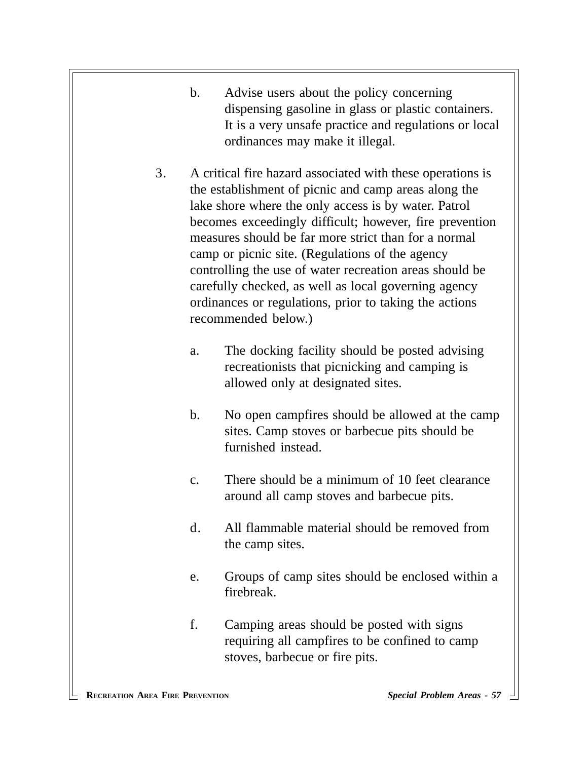- b. Advise users about the policy concerning dispensing gasoline in glass or plastic containers. It is a very unsafe practice and regulations or local ordinances may make it illegal.
- 3. A critical fire hazard associated with these operations is the establishment of picnic and camp areas along the lake shore where the only access is by water. Patrol becomes exceedingly difficult; however, fire prevention measures should be far more strict than for a normal camp or picnic site. (Regulations of the agency controlling the use of water recreation areas should be carefully checked, as well as local governing agency ordinances or regulations, prior to taking the actions recommended below.)
	- a. The docking facility should be posted advising recreationists that picnicking and camping is allowed only at designated sites.
	- b. No open campfires should be allowed at the camp sites. Camp stoves or barbecue pits should be furnished instead.
	- c. There should be a minimum of 10 feet clearance around all camp stoves and barbecue pits.
	- d. All flammable material should be removed from the camp sites.
	- e. Groups of camp sites should be enclosed within a firebreak.
	- f. Camping areas should be posted with signs requiring all campfires to be confined to camp stoves, barbecue or fire pits.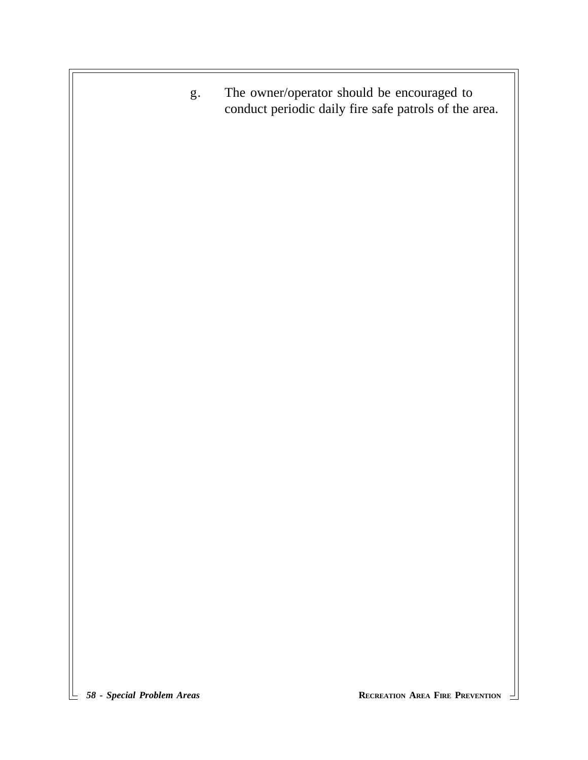g. The owner/operator should be encouraged to conduct periodic daily fire safe patrols of the area.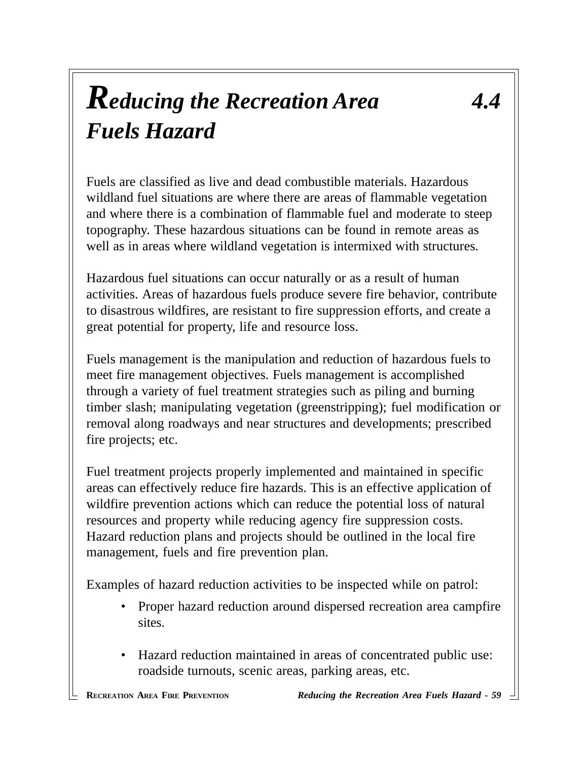### *Reducing the Recreation Area 4.4 Fuels Hazard*

Fuels are classified as live and dead combustible materials. Hazardous wildland fuel situations are where there are areas of flammable vegetation and where there is a combination of flammable fuel and moderate to steep topography. These hazardous situations can be found in remote areas as well as in areas where wildland vegetation is intermixed with structures.

Hazardous fuel situations can occur naturally or as a result of human activities. Areas of hazardous fuels produce severe fire behavior, contribute to disastrous wildfires, are resistant to fire suppression efforts, and create a great potential for property, life and resource loss.

Fuels management is the manipulation and reduction of hazardous fuels to meet fire management objectives. Fuels management is accomplished through a variety of fuel treatment strategies such as piling and burning timber slash; manipulating vegetation (greenstripping); fuel modification or removal along roadways and near structures and developments; prescribed fire projects; etc.

Fuel treatment projects properly implemented and maintained in specific areas can effectively reduce fire hazards. This is an effective application of wildfire prevention actions which can reduce the potential loss of natural resources and property while reducing agency fire suppression costs. Hazard reduction plans and projects should be outlined in the local fire management, fuels and fire prevention plan.

Examples of hazard reduction activities to be inspected while on patrol:

- Proper hazard reduction around dispersed recreation area campfire sites.
- Hazard reduction maintained in areas of concentrated public use: roadside turnouts, scenic areas, parking areas, etc.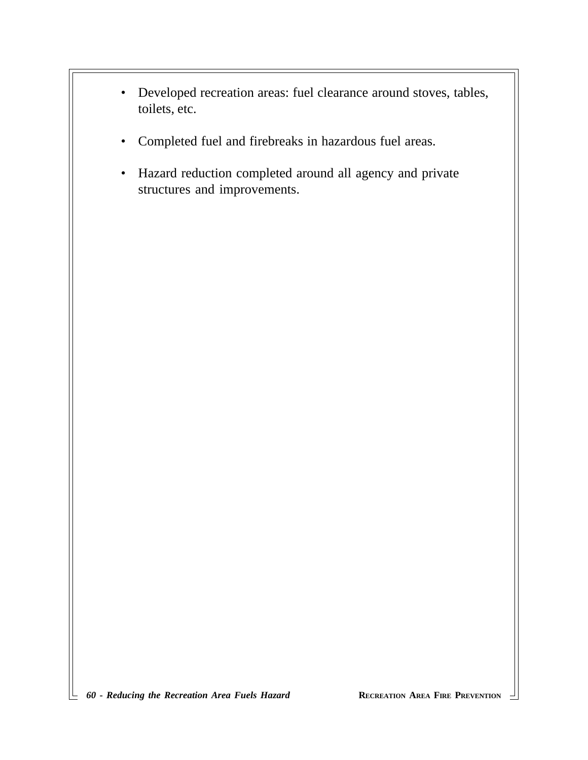- Developed recreation areas: fuel clearance around stoves, tables, toilets, etc.
- Completed fuel and firebreaks in hazardous fuel areas.
- Hazard reduction completed around all agency and private structures and improvements.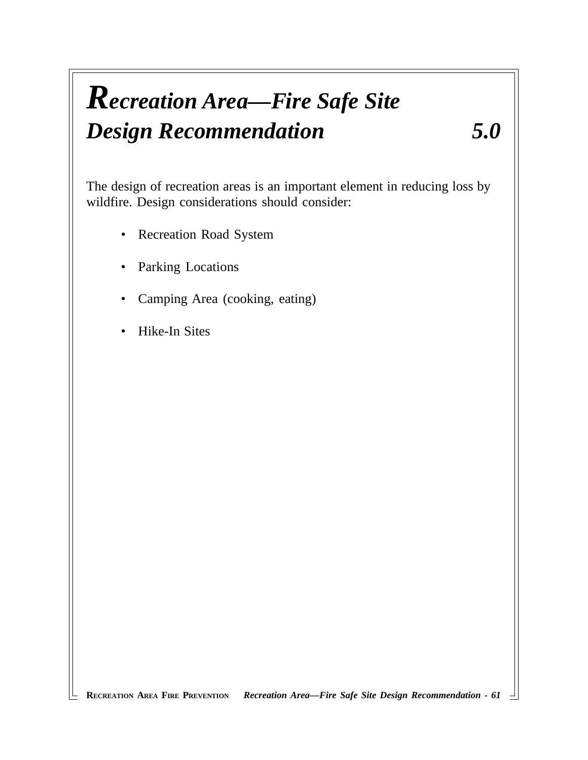### *Recreation Area—Fire Safe Site Design Recommendation 5.0*

The design of recreation areas is an important element in reducing loss by wildfire. Design considerations should consider:

- Recreation Road System
- Parking Locations
- Camping Area (cooking, eating)
- Hike-In Sites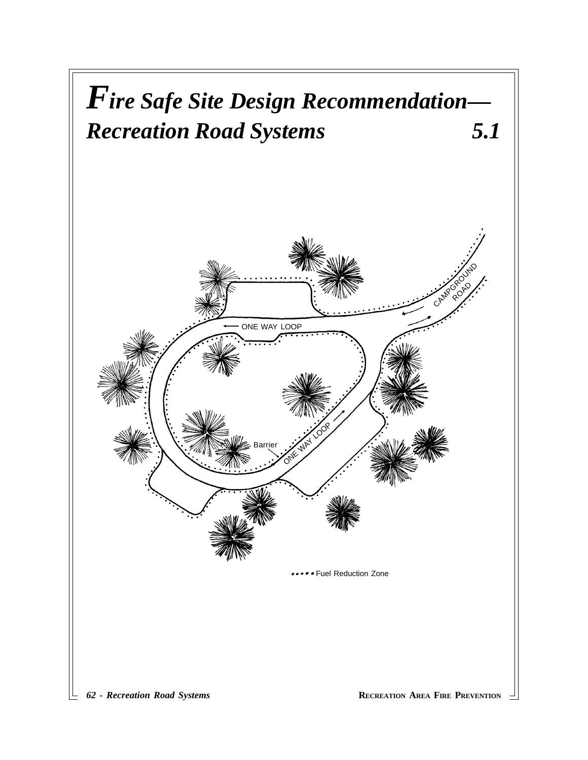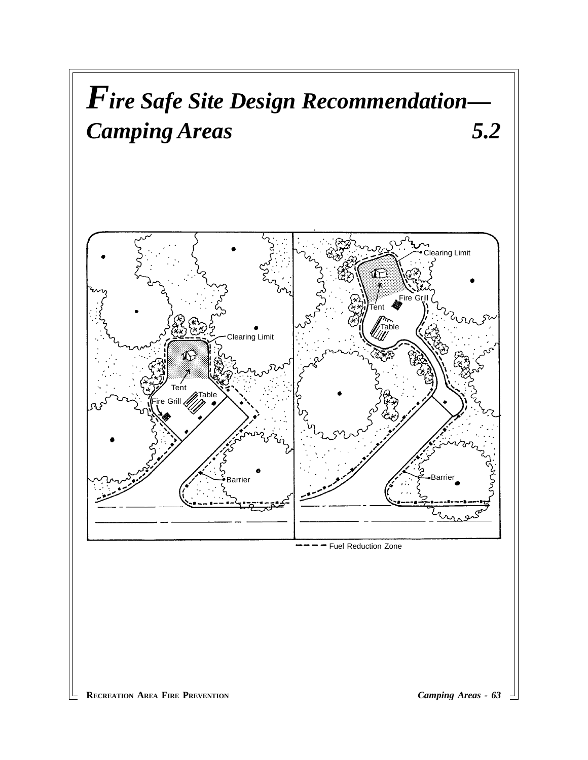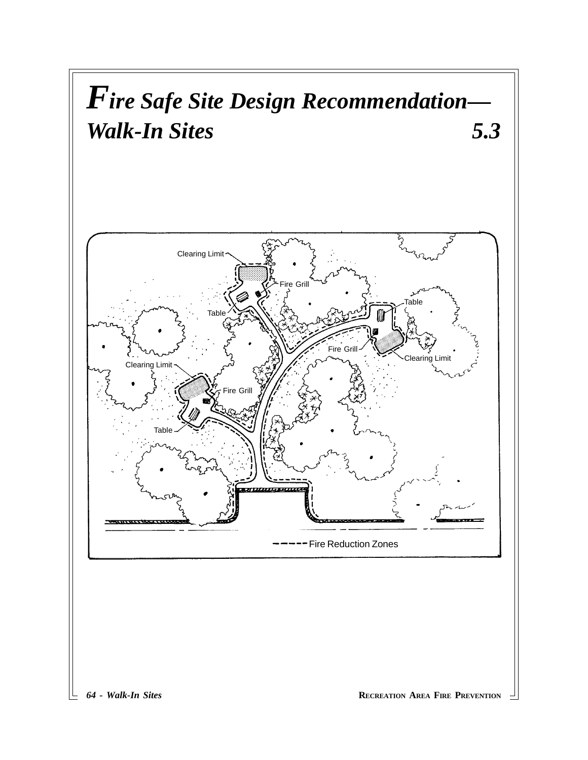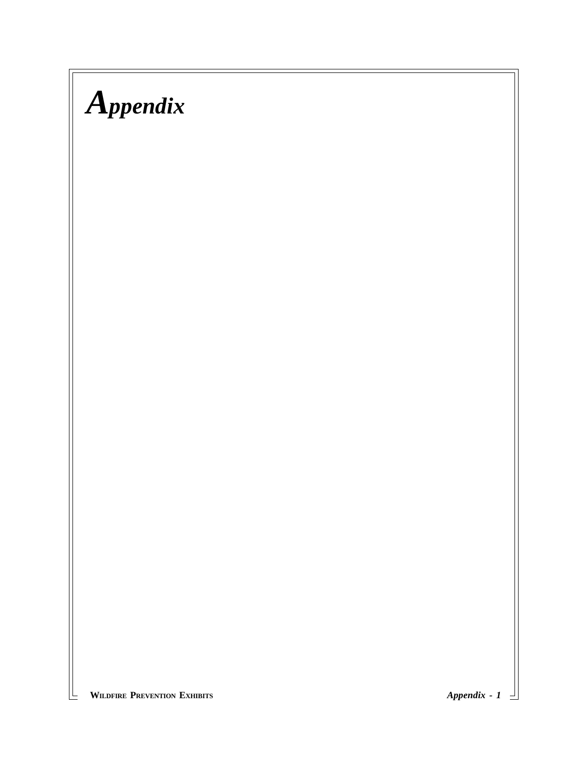# *Appendix*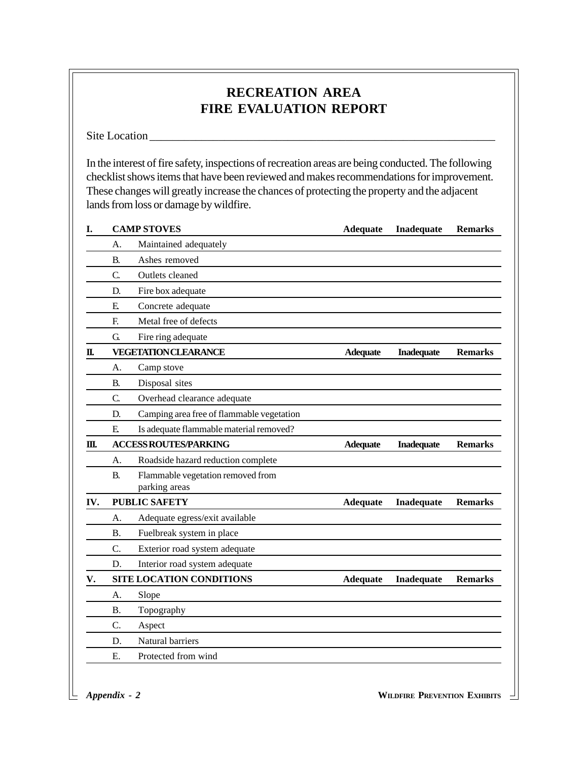#### **RECREATION AREA FIRE EVALUATION REPORT**

Site Location\_

In the interest of fire safety, inspections of recreation areas are being conducted. The following checklist shows items that have been reviewed and makes recommendations for improvement. These changes will greatly increase the chances of protecting the property and the adjacent lands from loss or damage by wildfire.

| I.  | <b>CAMP STOVES</b>           |                                                    | <b>Adequate</b> | Inadequate        | <b>Remarks</b> |
|-----|------------------------------|----------------------------------------------------|-----------------|-------------------|----------------|
|     | А.                           | Maintained adequately                              |                 |                   |                |
|     | B.                           | Ashes removed                                      |                 |                   |                |
|     | $\mathcal{C}$                | Outlets cleaned                                    |                 |                   |                |
|     | D.                           | Fire box adequate                                  |                 |                   |                |
|     | E                            | Concrete adequate                                  |                 |                   |                |
|     | F.                           | Metal free of defects                              |                 |                   |                |
|     | $\mathbf G$                  | Fire ring adequate                                 |                 |                   |                |
| п.  |                              | <b>VEGETATION CLEARANCE</b>                        | <b>Adequate</b> | <b>Inadequate</b> | <b>Remarks</b> |
|     | А.                           | Camp stove                                         |                 |                   |                |
|     | <b>B.</b>                    | Disposal sites                                     |                 |                   |                |
|     | $C_{\cdot}$                  | Overhead clearance adequate                        |                 |                   |                |
|     | D.                           | Camping area free of flammable vegetation          |                 |                   |                |
|     | E                            | Is adequate flammable material removed?            |                 |                   |                |
| Ш.  | <b>ACCESS ROUTES/PARKING</b> |                                                    | <b>Adequate</b> | <b>Inadequate</b> | <b>Remarks</b> |
|     | A.                           | Roadside hazard reduction complete                 |                 |                   |                |
|     | <b>B.</b>                    | Flammable vegetation removed from<br>parking areas |                 |                   |                |
| IV. | <b>PUBLIC SAFETY</b>         |                                                    | <b>Adequate</b> | Inadequate        | <b>Remarks</b> |
|     | А.                           | Adequate egress/exit available                     |                 |                   |                |
|     | <b>B.</b>                    | Fuelbreak system in place                          |                 |                   |                |
|     | C.                           | Exterior road system adequate                      |                 |                   |                |
|     | D.                           | Interior road system adequate                      |                 |                   |                |
| V.  |                              | SITE LOCATION CONDITIONS                           | <b>Adequate</b> | Inadequate        | <b>Remarks</b> |
|     | А.                           | Slope                                              |                 |                   |                |
|     | В.                           | Topography                                         |                 |                   |                |
|     | C.                           | Aspect                                             |                 |                   |                |
|     | D.                           | Natural barriers                                   |                 |                   |                |
|     | Ε.                           | Protected from wind                                |                 |                   |                |